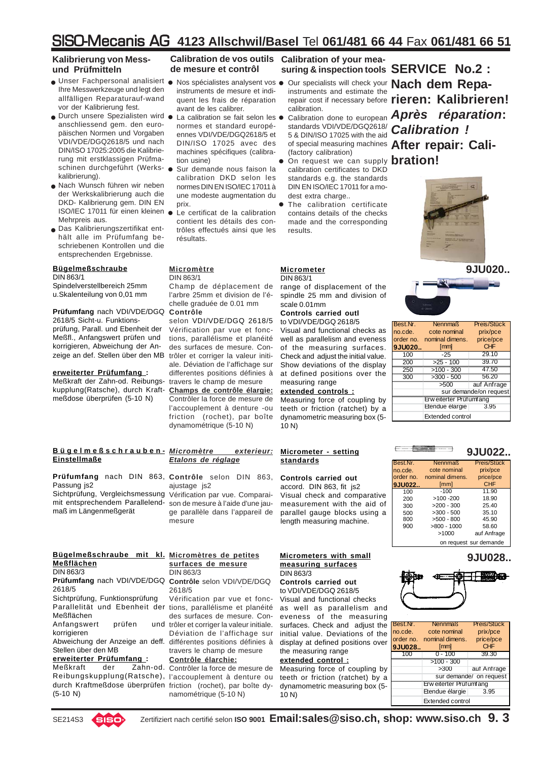### **Kalibrierung von Messund Prüfmitteln**

- Unser Fachpersonal analisiert Ihre Messwerkzeuge und legt den allfälligen Reparaturauf-wand vor der Kalibrierung fest.
- Durch unsere Spezialisten wird anschliessend gem. den europäischen Normen und Vorgaben VDI/VDE/DGQ2618/5 und nach DIN/ISO 17025:2005 die Kalibrierung mit erstklassigen Prüfmaschinen durchgeführt (Werks-z kalibrierung).
- Nach Wunsch führen wir neben z der Werkskalibrierung auch die DKD- Kalibrierung gem. DIN EN ISO/IEC 17011 für einen kleinen ● Mehrpreis aus.
- Das Kalibrierungszertifikat ent-z hält alle im Prüfumfang beschriebenen Kontrollen und die entsprechenden Ergebnisse.

### **Bügelmeßschraube** DIN 863/1

Spindelverstellbereich 25mm u.Skalenteilung von 0,01 mm

### **Prüfumfang** nach VDI/VDE/DGQ 2618/5 Sicht-u. Funktions-

prüfung, Parall. und Ebenheit der Meßfl., Anfangswert prüfen und korrigieren, Abweichung der Anzeige an def. Stellen über den MB

### **erweiterter Prüfumfang :**

Meßkraft der Zahn-od. Reibungs- travers le champ de mesure kupplung(Ratsche), durch Kraftmeßdose überprüfen (5-10 N)

### *Micromètre exterieur:* **Bügelmeßschrauben-Einstellmaße**

Prüfumfang nach DIN 863, Contrôle selon DIN 863, Sichtprüfung, Vergleichsmessung Vérification par vue. Comparai-Passung js2 mit entsprechendem Parallelendmaß im Längenmeßgerät

#### Bügelmeßschraube mit kl. Micromètres de petites **Meßflächen** DIN 863/3

Prüfumfang nach VDI/VDE/DGQ Contrôle selon VDI/VDE/DGQ Parallelität und Ebenheit der tions, parallélisme et planéité 2618/5 Sichtprüfung, Funktionsprüfung Meßflächen Anfangswert prüfen korrigieren

Abweichung der Anzeige an deff. différentes positions définies à Stellen über den MB

### **erweiterter Prüfumfang :**

Meßkraft der Zahn-od. Contrôler la force de mesure de Reibungskupplung(Ratsche), l'accouplement à denture ou durch Kraftmeßdose überprüfen friction (rochet), par boîte dy-(5-10 N)

### **Calibration de vos outils Calibration of your meade mesure et contrôl**

- instruments de mesure et indiquent les frais de réparation avant de les calibrer.
- La calibration se fait selon les  $\bullet$ normes et standard européennes VDI/VDE/DGQ2618/5 et DIN/ISO 17025 avec des machines spécifiques (calibration usine)
- Sur demande nous faison la calibration DKD selon les normes DIN EN ISO/IEC 17011 à une modeste augmentation du prix.
- Le certificat de la calibration contient les détails des contrôles effectués ainsi que les résultats.

#### **Micromètre** DIN 863/1

Champ de déplacement de l'arbre 25mm et division de l'échelle graduée de 0.01 mm **Contrôle**

selon VDI/VDE/DGQ 2618/5 Vérification par vue et fonctions, parallélisme et planéité des surfaces de mesure. Contrôler et corriger la valeur initiale. Déviation de l'affichage sur differentes positions définies à

**Champs de contrôle élargie:** Contrôler la force de mesure de l'accouplement à denture -ou friction (rochet), par boîte dynamométrique (5-10 N)

### *Etalons de réglage*

ajustage js2

son de mesure à l'aide d'une jauge parallèle dans l'appareil de mesure

### **surfaces de mesure** DIN 863/3

2618/5

Vérification par vue et foncdes surfaces de mesure. Conund trôler et corriger la valeur initiale. Déviation de l'affichage sur travers le champ de mesure **Contrôle élarchie:**

namométrique (5-10 N)

### **SERVICE No.2 : suring & inspection tools**

- Nos spécialistes analysent vos  $\bullet$  Our specialists will check your **Nach dem Repa**instruments and estimate the
	- of special measuring machines **After repair: Cali-**Calibration done to european standards VDI/VDE/DGQ2618/ 5 & DIN/ISO 17025 with the aid (factory calibration)
	- On request we can supply **bration!** calibration certificates to DKD standards e.g. the standards DIN EN ISO/IEC 17011 for a modest extra charge..  $\bullet$
	- The calibration certificate contains details of the checks made and the corresponding results.  $\bullet$

### **Micrometer** DIN 863/1

range of displacement of the spindle 25 mm and division of scale 0.01mm

### **Controls carried outl** to VDI/VDE/DGQ 2618/5

Visual and functional checks as well as parallelism and eveness of the measuring surfaces. Check and adjust the initial value. Show deviations of the display at defined positions over the measuring range

### **extended controls :**

Measuring force of coupling by teeth or friction (ratchet) by a dynamometric measuring box (5- 10 N)

### **Micrometer - setting standards**

### **Controls carried out**

accord. DIN 863, fit js2 Visual check and comparative measurement with the aid of parallel gauge blocks using a length measuring machine.

#### **Micrometers with small measuring surfaces** DIN 863/3

**Controls carried out** to VDI/VDE/DGQ 2618/5

Visual and functional checks as well as parallelism and eveness of the measuring surfaces. Check and adjust the initial value. Deviations of the display at defined positions over the measuring range

### **extended control :**

Measuring force of coupling by teeth or friction (ratchet) by a dynamometric measuring box (5- 10 N)

repair cost if necessary before **rieren: Kalibrieren!** calibration.<br>Calibration done to european **Après** réparation: *Calibration !*



**9JU020..**

| Best.Nr. | <b>Nennmaß</b>                | Preis/Stück |  |
|----------|-------------------------------|-------------|--|
| no.cde.  | cote nominal                  | prix/pce    |  |
|          | order no. nominal dimens.     | price/pce   |  |
| 9JU020   | [mm]                          | <b>CHF</b>  |  |
| 100      | -25                           | 29.10       |  |
| 200      | $>25 - 100$                   | 39.70       |  |
| 250      | $>100 - 300$                  | 47.50       |  |
| 300      | $>300 - 500$                  | 56.20       |  |
|          | >500                          | auf Anfrage |  |
|          | sur demande/on request        |             |  |
|          | <b>Erweiterter Prüfumfang</b> |             |  |
|          | Etendue élargie<br>3.95       |             |  |
|          | <b>Extended control</b>       |             |  |

| Best.Nr.  | <b>Nennmaß</b>  | Preis/Stück            |
|-----------|-----------------|------------------------|
| no.cde.   | cote nominal    | prix/pce               |
| order no. | nominal dimens. | price/pce              |
| 9JU022    | [mm]            | CHF                    |
| 100       | $-100$          | 11.90                  |
| 200       | $>100 - 200$    | 18.90                  |
| 300       | $>200 - 300$    | 25.40                  |
| 500       | $>300 - 500$    | 35.10                  |
| 800       | $>500 - 800$    | 45.90                  |
| 900       | $>800 - 1000$   | 58.60                  |
|           | >1000           | auf Anfrage            |
|           |                 | on request sur demande |

 $\equiv$ 

**CONTRACTOR** 

⋿

### **9JU028..**

**9JU022..**



| Best Nr.  | Preis/Stück<br><b>Nennmaß</b> |                         |  |
|-----------|-------------------------------|-------------------------|--|
| no.cde.   | cote nominal                  | prix/pce                |  |
| order no. | nominal dimens.               | price/pce               |  |
| 9JU028    | [mm]                          | <b>CHF</b>              |  |
| 1 በበ      | $0 - 100$                     | 39.30                   |  |
|           | $>100 - 300$                  |                         |  |
|           | >300                          | auf Anfrage             |  |
|           |                               | sur demande/ on request |  |
|           | Erw eiterter Prüfumfang       |                         |  |
|           | Etendue élargie               | 3.95                    |  |
|           | <b>Extended control</b>       |                         |  |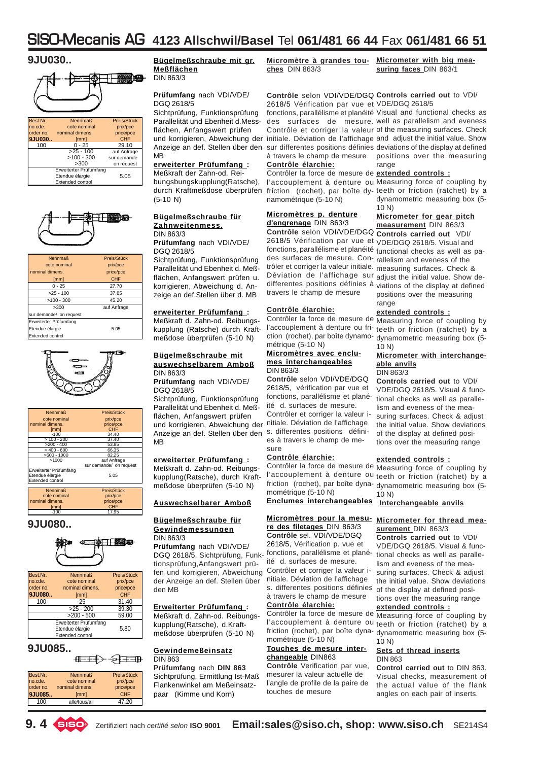



| Best.Nr.  | <b>Nennmaß</b>          | Preis/Stück |
|-----------|-------------------------|-------------|
| no.cde.   | cote nominal            | prix/pce    |
| order no. | nominal dimens.         | price/pce   |
| 9JU030    | [mm]                    | CHF         |
| 100       | $0 - 25$                | 29.10       |
|           | $>25 - 100$             | auf Anfrage |
|           | $>100 - 300$            | sur demande |
|           | >300                    | on request  |
|           | Erweiterter Prüfumfang  |             |
|           | Etendue élargie         | 5.05        |
|           | <b>Extended control</b> |             |



| <b>Nennmaß</b>          | Preis/Stück |  |
|-------------------------|-------------|--|
| cote nominal            | prix/pce    |  |
| nominal dimens.         | price/pce   |  |
| [mm]                    | <b>CHF</b>  |  |
| $0 - 25$                | 27.70       |  |
| $>25 - 100$             | 37.85       |  |
| $>100 - 300$            | 45.20       |  |
| >300                    | auf Anfrage |  |
| sur demande/ on request |             |  |
| Erweiterter Prüfumfang  |             |  |
| Etendue élargie         | 5.05        |  |
| <b>Extended control</b> |             |  |



| <b>Nennmaß</b>         | Preis/Stück             |  |
|------------------------|-------------------------|--|
| cote nominal           | prix/pce                |  |
| nominal dimens.        | price/pce               |  |
| [mm]                   | <b>CHF</b>              |  |
| $-100$                 | 34.40                   |  |
| $>100 - 200$           | 37.40                   |  |
| $>200 - 400$           | 53.85                   |  |
| $>400 - 600$           | 66.35                   |  |
| $>600 - 1000$          | 82.25                   |  |
| >1000                  | auf Anfrage             |  |
|                        | sur demande/ on request |  |
| Erweiterter Prüfumfang |                         |  |
| Etendue élargie        | 5.05                    |  |
| Extended control       |                         |  |
|                        |                         |  |
| <b>Nennmaß</b>         | Preis/Stück             |  |
| cote nominal           | prix/pce                |  |
| nominal dimens.        | price/pce               |  |
| [mm]                   | CHF                     |  |

### **9JU080..**



-100 17.95

| Best.Nr.                | <b>Nennmaß</b>         | Preis/Stück |  |
|-------------------------|------------------------|-------------|--|
| no.cde.                 | cote nominal           | prix/pce    |  |
| order no.               | nominal dimens.        | price/pce   |  |
| 9JU080                  | [mm]                   | <b>CHF</b>  |  |
| 100                     | $-25$                  | 31.40       |  |
|                         | $>25 - 200$            | 39.30       |  |
|                         | $>200 - 500$           | 59.00       |  |
|                         | Erweiterter Prüfumfang |             |  |
| Etendue élargie<br>5.80 |                        |             |  |
|                         | Extended control       |             |  |

### **9JU085..**

| Best.Nr.  | <b>Nennmaß</b>  | Preis/Stück |
|-----------|-----------------|-------------|
| no.cde.   | cote nominal    | prix/pce    |
| order no. | nominal dimens. | price/pce   |
| 9.JU085   | [mm]            | <b>CHF</b>  |
| 100       | alle/tous/all   | 47 20       |

**CELER STEER** 

**Bügelmeßschraube mit gr. Meßflächen** DIN 863/3

### **Prüfumfang** nach VDI/VDE/ DGQ 2618/5

Sichtprüfung, Funktionsprüfung Parallelität und Ebenheit d.Messflächen, Anfangswert prüfen und korrigieren, Abweichung der initiale. Déviation de l'affichage and adjust the initial value. Show Anzeige an def. Stellen über den sur differentes positions définies deviations of the display at defined MB

### **erweiterter Prüfumfang :**

Meßkraft der Zahn-od. Reibungsbungskupplung(Ratsche), durch Kraftmeßdose überprüfen (5-10 N)

#### **Bügelmeßschraube für Zahnweitenmess.** DIN 863/3

**Prüfumfang** nach VDI/VDE/ DGQ 2618/5

Sichtprüfung, Funktionsprüfung Parallelität und Ebenheit d. Meßflächen, Anfangswert prüfen u. korrigieren, Abweichung d. Anzeige an def.Stellen über d. MB

### **erweiterter Prüfumfang :**

Meßkraft d. Zahn-od. Reibungskupplung (Ratsche) durch Kraftmeßdose überprüfen (5-10 N)

#### **Bügelmeßschraube mit auswechselbarem Amboß** DIN 863/3

**Prüfumfang** nach VDI/VDE/ DGQ 2618/5

Sichtprüfung, Funktionsprüfung Parallelität und Ebenheit d. Meßflächen, Anfangswert prüfen und korrigieren, Abweichung der nitiale. Déviation de l'affichage Anzeige an def. Stellen über den s. differentes positions défini-MB

### **erweiterter Prüfumfang :**

Meßkraft d. Zahn-od. Reibungskupplung(Ratsche), durch Kraftmeßdose überprüfen (5-10 N)

### **Auswechselbarer Amboß**

#### **Bügelmeßschraube für Gewindemessungen** DIN 863/3

**Prüfumfang** nach VDI/VDE/ DGQ 2618/5, Sichtprüfung, Funktionsprüfung,Anfangswert prüfen und korrigieren, Abweichung der Anzeige an def. Stellen über den MB

### **Erweiterter Prüfumfang :**

Meßkraft d. Zahn-od. Reibungskupplung(Ratsche), d.Kraftmeßdose überprüfen (5-10 N)

#### **Gewindemeßeinsatz** DIN 863

**Prüfumfang** nach **DIN 863** Sichtprüfung, Ermittlung Ist-Maß Flankenwinkel am Meßeinsatzpaar (Kimme und Korn)

**Micromètre à grandes touches** DIN 863/3

**Micrometer with big measuring faces** DIN 863/1

**Contrôle** selon VDI/VDE/DGQ **Controls carried out** to VDI/ 2618/5 Vérification par vue et VDE/DGQ 2618/5

fonctions, parallélisme et planéité Visual and functional checks as à travers le champ de mesure

### **Contrôle élarchie:**

Contrôler la force de mesure de **extended controls :** namométrique (5-10 N)

### **Micromètres p. denture d'engrenage** DIN 863/3

**Contrôle** selon VDI/VDE/DGQ **Controls carried out** VDI/ 2618/5 Vérification par vue et VDE/DGQ 2618/5. Visual and des surfaces de mesure. Con-rallelism and eveness of the trôler et corriger la valeur initiale. measuring surfaces. Check & travers le champ de mesure

### **Contrôle élarchie:**

Contrôler la force de mesure de Measuring force of coupling by métrique (5-10 N)

#### **Micromètres avec enclumes interchangeables** DIN 863/3

**Contrôle** selon VDI/VDE/DGQ 2618/5, vérification par vue et fonctions, parallélisme et planéité d. surfaces de mesure. Contrôler et corriger la valeur ies à travers le champ de mesure

### **Contrôle élarchie:**

Contrôler la force de mesure de Measuring force of coupling by mométrique (5-10 N)

### **Enclumes interchangeables**

#### **Micromètres pour la mesu-Micrometer for thread meare des filetages** DIN 863/3 **Contrôle** sel. VDI/VDE/DGQ

2618/5, Vérification p. vue et fonctions, parallélisme et planéité d. surfaces de mesure. Contrôler et corriger la valeur initiale. Déviation de l'affichage s. differentes positions définies à travers le champ de mesure **Contrôle élarchie:**

mométrique (5-10 N)

### **Touches de mesure interchangeable** DIN863

**Contrôle** Verification par vue, mesurer la valeur actuelle de l'angle de profile de la paire de touches de mesure

des surfaces de mesure. well as parallelism and eveness Contrôle et corriger la valeur of the measuring surfaces. Check positions over the measuring range

l'accouplement à denture ou Measuring force of coupling by friction (rochet), par boîte dy-teeth or friction (ratchet) by a dynamometric measuring box (5- 10 N)

### **Micrometer for gear pitch measurement** DIN 863/3

fonctions, parallélisme et planéité functional checks as well as pa-Déviation de l'affichage sur adjust the initial value. Show dedifferentes positions définies à viations of the display at defined positions over the measuring range

### **extended controls :**

l'accouplement à denture ou fri-teeth or friction (ratchet) by a ction (rochet), par boîte dynamo-dynamometric measuring box (5- 10 N)

#### **Micrometer with interchangeable anvils** DIN 863/3

**Controls carried out** to VDI/ VDE/DGQ 2618/5. Visual & functional checks as well as parallelism and eveness of the measuring surfaces. Check & adjust the initial value. Show deviations of the display at defined positions over the measuring range

### **extended controls :**

l'accouplement à denture ou teeth or friction (ratchet) by a friction (rochet), par boîte dyna-dynamometric measuring box (5-10 N)

### **Interchangeable anvils**

### **surement** DIN 863/3

**Controls carried out** to VDI/ VDE/DGQ 2618/5. Visual & functional checks as well as parallelism and eveness of the measuring surfaces. Check & adjust the initial value. Show deviations of the display at defined positions over the measuring range

### **extended controls :**

Contrôler la force de mesure de Measuring force of coupling by l'accouplement à denture ou teeth or friction (ratchet) by a friction (rochet), par boîte dyna-dynamometric measuring box (5-10 N)

#### **Sets of thread inserts** DIN 863

**Control carried out** to DIN 863. Visual checks, measurement of the actual value of the flank angles on each pair of inserts.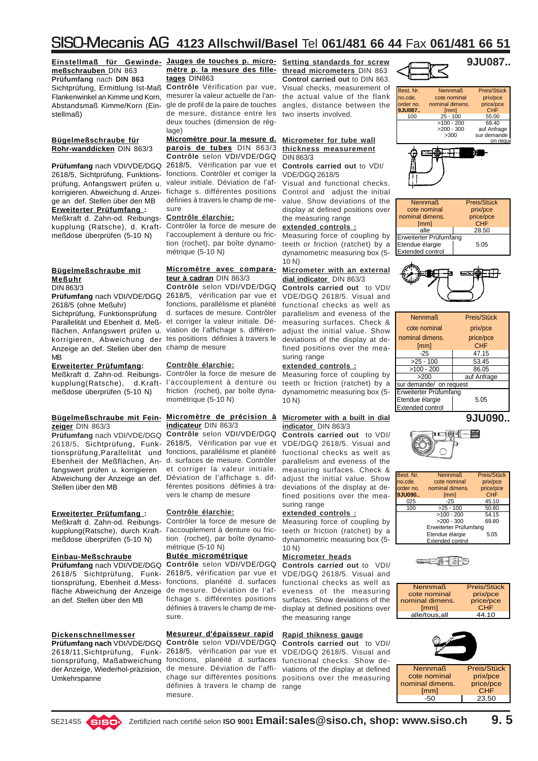**Einstellmaß für Gewinde-Jauges de touches p. micro-Setting standards for screw meßschrauben** DIN 863 **Prüfumfang** nach **DIN 863** Sichtprüfung, Ermittlung Ist-Maß Flankenwinkel an Kimme und Korn, mesurer la valeur actuelle de l'an-Abstandsmaß Kimme/Korn (Einstellmaß)

### **Bügelmeßschraube für Rohr-wanddicken** DIN 863/3

**Prüfumfang** nach VDI/VDE/DGQ 2618/5, Vérification par vue et 2618/5, Sichtprüfung, Funktionsprüfung, Anfangswert prüfen u. korrigieren. Abweichung d. Anzeige an def. Stellen über den MB **Erweiterter Prüfumfang :** Meßkraft d. Zahn-od. Reibungskupplung (Ratsche), d. Kraftmeßdose überprüfen (5-10 N)

#### **Bügelmeßschraube mit Meßuhr** DIN 863/3

**Prüfumfang** nach VDI/VDE/DGQ 2618/5 (ohne Meßuhr) Sichtprüfung, Funktionsprüfung

Parallelität und Ebenheit d. Meßflächen, Anfangswert prüfen u. korrigieren, Abweichung der tes positions définies à travers le Anzeige an def. Stellen über den champ de mesure MB

### **Erweiterter Prüfumfang:**

Meßkraft d. Zahn-od. Reibungskupplung(Ratsche), d.Kraft-l'accouplement à denture ou meßdose überprüfen (5-10 N)

### **zeiger** DIN 863/3

**Prüfumfang** nach VDI/VDE/DGQ 2618/5, Sichtprüfung, Funktionsprüfung,Parallelität und fonctions, parallélisme et planéité Ebenheit der Meßflächen, An-d. surfaces de mesure. Contrôler fangswert prüfen u. korrigieren Abweichung der Anzeige an def. Déviation de l'affichage s. dif-Stellen über den MB

### **Erweiterter Prüfumfang :**

Meßkraft d. Zahn-od. Reibungskupplung(Ratsche), durch Kraftmeßdose überprüfen (5-10 N)

### **Einbau-Meßschraube**

**Prüfumfang** nach VDI/VDE/DGQ 2618/5 Sichtprüfung, Funktionsprüfung, Ebenheit d.Messfläche Abweichung der Anzeige an def. Stellen über den MB

### **Dickenschnellmesser**

2618/11,Sichtprüfung, Funktionsprüfung, Maßabweichung fonctions, planéité d. surfaces der Anzeige, Wiederhol-präzision, Umkehrspanne

### **mètre p. la mesure des filletages** DIN863

**Contrôle** Vérification par vue, gle de profil de la paire de touches angles, distance between the de mesure, distance entre les two inserts involved. deux touches (dimension de réglage)

**Micromètre pour la mesure d. Micrometer for tube wall parois de tubes** DIN 863/3 **Contrôle** selon VDI/VDE/DGQ fonctions. Contrôler et corriger la valeur initiale. Déviation de l'affichage s. différentes positions définies à travers le champ de mesure

### **Contrôle élarchie:**

Contrôler la force de mesure de l'accouplement à denture ou friction (rochet), par boîte dynamométrique (5-10 N)

#### **Micromètre avec compara-Micrometer with an external teur à cadran** DIN 863/3

**Contrôle** selon VDI/VDE/DGQ 2618/5, vérification par vue et fonctions, parallélisme et planéité d. surfaces de mesure. Contrôler et corriger la valeur initiale. Déviation de l'affichage s. différen-

### **Contrôle élarchie:**

Contrôler la force de mesure de friction (rochet), par boîte dynamométrique (5-10 N)

#### **Bügelmeßschraube mit Fein-Micromètre de précision à indicateur** DIN 863/3

**Contrôle** selon VDI/VDE/DGQ 2618/5, Vérification par vue et et corriger la valeur initiale. férentes positions définies à travers le champ de mesure

### **Contrôle élarchie:**

Contrôler la force de mesure de l'accouplement à denture ou friction (rochet), par boîte dynamométrique (5-10 N)

### **Butée micrométrique**

**Contrôle** selon VDI/VDE/DGQ 2618/5, vérification par vue et fonctions, planéité d. surfaces de mesure. Déviation de l'affichage s. différentes positions définies à travers le champ de mesure.

### **Mesureur d'épaisseur rapid**

**Prüfumfang nach** VDI/VDE/DGQ **Contrôle** selon VDI/VDE/DGQ 2618/5, vérification par vue et de mesure. Déviation de l'affichage sur différentes positions positions over the measuring définies à travers le champ de mesure.

**thread micrometers** DIN 863 **Control carried out** to DIN 863. Visual checks, measurement of the actual value of the flank

### **thickness measurement** DIN 863/3

**Controls carried out** to VDI/ VDE/DGQ 2618/5

Visual and functional checks. Control and adjust the initial value. Show deviations of the display at defined positions over the measuring range

### **extended controls :**

Measuring force of coupling by teeth or friction (ratchet) by a dynamometric measuring box (5-  $10 N$ 

### **dial indicator** DIN 863/3

**Controls carried out** to VDI/ VDE/DGQ 2618/5. Visual and functional checks as well as parallelism and eveness of the measuring surfaces. Check & adjust the initial value. Show deviations of the display at defined positions over the measuring range

### **extended controls :**

Measuring force of coupling by teeth or friction (ratchet) by a dynamometric measuring box (5- 10 N)

### **Micrometer with a built in dial indicator** DIN 863/3

**Controls carried out** to VDI/ VDE/DGQ 2618/5. Visual and functional checks as well as parallelism and eveness of the measuring surfaces. Check & adjust the initial value. Show deviations of the display at defined positions over the measuring range

### **extended controls :**

Measuring force of coupling by teeth or friction (ratchet) by a dynamometric measuring box (5-  $10 N$ 

### **Micrometer heads**

**Controls carried out** to VDI/ VDE/DGQ 2618/5. Visual and functional checks as well as eveness of the measuring surfaces. Show deviations of the display at defined positions over the measuring range

### **Rapid thikness gauge**

**Controls carried out** to VDI/ VDE/DGQ 2618/5. Visual and functional checks. Show deviations of the display at defined range









Etwortendue franchmang<br>Etendue élargie 15.05

| <b>Nennmaß</b>          | Preis/Stück |  |
|-------------------------|-------------|--|
| cote nominal            | prix/pce    |  |
| nominal dimens.         | price/pce   |  |
| [mm]                    | <b>CHF</b>  |  |
| -25                     | 47.15       |  |
| $>25 - 100$             | 53.45       |  |
| $>100 - 200$<br>86.05   |             |  |
| >200                    | auf Anfrage |  |
| sur demande/ on request |             |  |
| Erweiterter Prüfumfang  |             |  |
| Etendue élargie         | 5.05        |  |
| <b>Extended control</b> |             |  |
|                         |             |  |

**9JU090..**



| Best. Nr. | <b>Nennmaß</b>          | Preis/Stück |
|-----------|-------------------------|-------------|
| no.cde.   | cote nominal            | prix/pce    |
| order no. | nominal dimens.         | price/pce   |
| 9JU090    | <i>[mm]</i>             | <b>CHF</b>  |
| 025       | $-25$                   | 45.10       |
| 100       | $>25 - 100$             | 50.80       |
|           | $>100 - 200$            | 54.15       |
|           | $>200 - 300$            | 69.80       |
|           | Erweiterter Prüfumfang  |             |
|           | Etendue élargie         | 5.05        |
|           | <b>Extended control</b> |             |



| <b>Nennmaß</b>  | Preis/Stück |
|-----------------|-------------|
| cote nominal    | prix/pce    |
| nominal dimens. | price/pce   |
| [mm]            | CHF         |
| alle/tous.all   | 44.10       |



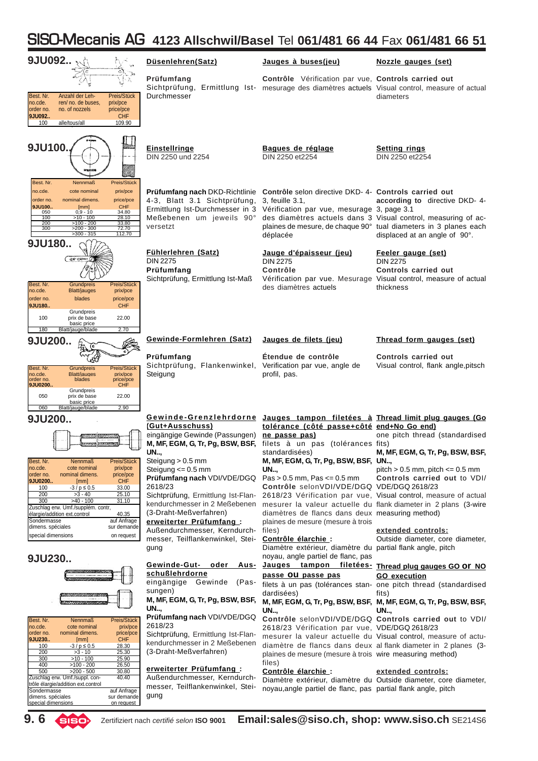| 9JU092                                                                                                                                                                                                                                                                                                                                                                     | Düsenlehren(Satz)                                                                                                                                                            | Jauges à buses(jeu)                                                                                                                                                                                                                              | Nozzle gauges (set)                                                                                                                                                                                 |
|----------------------------------------------------------------------------------------------------------------------------------------------------------------------------------------------------------------------------------------------------------------------------------------------------------------------------------------------------------------------------|------------------------------------------------------------------------------------------------------------------------------------------------------------------------------|--------------------------------------------------------------------------------------------------------------------------------------------------------------------------------------------------------------------------------------------------|-----------------------------------------------------------------------------------------------------------------------------------------------------------------------------------------------------|
| Best. Nr.<br>Preis/Stück<br>Anzahl der Leh-<br>no.cde.<br>ren/ no. de buses,<br>prix/pce                                                                                                                                                                                                                                                                                   | Prüfumfang<br>Durchmesser                                                                                                                                                    | Contrôle Vérification par vue, Controls carried out<br>Sichtprüfung, Ermittlung Ist- mesurage des diamètres actuels Visual control, measure of actual                                                                                            | diameters                                                                                                                                                                                           |
| order no.<br>no. of nozzels<br>price/pce<br>9JU092<br><b>CHF</b><br>100<br>109.90<br>alle/tous/all                                                                                                                                                                                                                                                                         |                                                                                                                                                                              |                                                                                                                                                                                                                                                  |                                                                                                                                                                                                     |
| 9JU100.                                                                                                                                                                                                                                                                                                                                                                    | <b>Einstellringe</b><br>DIN 2250 und 2254                                                                                                                                    | Bagues de réglage<br>DIN 2250 et2254                                                                                                                                                                                                             | <b>Setting rings</b><br>DIN 2250 et 2254                                                                                                                                                            |
| Best. Nr.<br>Preis/Stück<br><b>Nennmaß</b><br>prix/pce<br>no.cde.<br>cote nominal<br>order no.<br>nominal dimens.<br>price/pce<br><b>CHF</b><br>9JU100<br>[mm]<br>$0,9 - 10$<br>34.80<br>050<br>28.10<br>100<br>$>10 - 100$<br>33.80<br>200<br>$>100 - 200$<br>300<br>72.70<br>$>200 - 300$<br>$>300 - 315$<br>112.70<br>9JU180                                            | <b>Prüfumfang nach</b> DKD-Richtlinie<br>4-3, Blatt 3.1 Sichtprüfung,<br>Meßebenen um jeweils 90°<br>versetzt                                                                | Contrôle selon directive DKD- 4- Controls carried out<br>3, feuille 3.1,<br>Ermittlung Ist-Durchmesser in 3 Vérification par vue, mesurage 3, page 3.1<br>déplacée                                                                               | according to directive DKD-4-<br>des diamètres actuels dans 3 Visual control, measuring of ac-<br>plaines de mesure, de chaque 90° tual diameters in 3 planes each<br>displaced at an angle of 90°. |
| $Q30 - 0.50$ mm<br>Best, Nr.<br>Grundpreis<br>Preis/Stück<br>no.cde.<br><b>Blatt/jauges</b><br>prix/pce                                                                                                                                                                                                                                                                    | Fühlerlehren (Satz)<br><b>DIN 2275</b><br>Prüfumfang<br>Sichtprüfung, Ermittlung Ist-Maß                                                                                     | Jauge d'épaisseur (jeu)<br><b>DIN 2275</b><br>Contrôle<br>des diamètres actuels                                                                                                                                                                  | Feeler gauge (set)<br><b>DIN 2275</b><br><b>Controls carried out</b><br>Vérification par vue. Mesurage Visual control, measure of actual<br>thickness                                               |
| order no.<br>blades<br>price/pce<br>9JU180<br><b>CHF</b><br>Grundpreis<br>100<br>22.00<br>prix de base<br>basic price<br>180<br>Blatt/jauge/blade<br>2.70                                                                                                                                                                                                                  |                                                                                                                                                                              |                                                                                                                                                                                                                                                  |                                                                                                                                                                                                     |
| 9JU200                                                                                                                                                                                                                                                                                                                                                                     | Gewinde-Formlehren (Satz)                                                                                                                                                    | Jauges de filets (jeu)                                                                                                                                                                                                                           | Thread form gauges (set)                                                                                                                                                                            |
| Best. Nr.<br>Preis/Stück<br>Grundpreis<br>no.cde.<br><b>Blatt/jauges</b><br>prix/pce<br>price/pce<br>order no.<br>blades<br>9JU0200<br><b>CHF</b>                                                                                                                                                                                                                          | Prüfumfang<br>Sichtprüfung, Flankenwinkel,<br>Steigung                                                                                                                       | Etendue de contrôle<br>Verification par vue, angle de<br>profil, pas.                                                                                                                                                                            | <b>Controls carried out</b><br>Visual control, flank angle, pitsch                                                                                                                                  |
| Grundpreis<br>050<br>22.00<br>prix de base<br>basic price                                                                                                                                                                                                                                                                                                                  |                                                                                                                                                                              |                                                                                                                                                                                                                                                  |                                                                                                                                                                                                     |
| 2.90<br>060<br>Blatt/iauge/blade<br>9JU200                                                                                                                                                                                                                                                                                                                                 |                                                                                                                                                                              | Gewinde-Grenzlehrdorne Jauges tampon filetées à Thread limit plug gauges (Go                                                                                                                                                                     |                                                                                                                                                                                                     |
|                                                                                                                                                                                                                                                                                                                                                                            | (Gut+Ausschuss)<br>eingängige Gewinde (Passungen) ne passe pas)<br>UN,                                                                                                       | tolérance (côté passe+côté end+No Go end)<br>M, MF, EGM, G, Tr, Pg, BSW, BSF, filets à un pas (tolérances fits)<br>standardisees)                                                                                                                | one pitch thread (standardised<br>M, MF, EGM, G, Tr, Pg, BSW, BSF,                                                                                                                                  |
| Best. Nr.<br>Preis/Stück<br><b>Nennmaß</b><br>no.cde.<br>cote nominal<br>prix/pce<br>order no.<br>nominal dimens.<br>price/pce<br><b>CHF</b><br>9JU0200<br>[mm]<br>100<br>$-3/p \le 0.5$<br>33.00<br>200<br>25.10<br>$>3 - 40$<br>300<br>$>40 - 100$<br>31.10<br>Zuschlag erw. Umf./supplém. contr,<br>élargie/addition ext.control<br>40.35<br>Sondermasse<br>auf Anfrage | Steigung > 0.5 mm<br>Steigung $<= 0.5$ mm<br>Prüfumfang nach VDI/VDE/DGQ Pas > 0.5 mm, Pas <= $0.5$ mm<br>2618/23<br>kendurchmesser in 2 Meßebenen<br>(3-Draht-Meßverfahren) | M, MF, EGM, G, Tr, Pg, BSW, BSF, UN,<br>UN<br>Contrôle selonVDI/VDE/DGQ VDE/DGQ 2618/23<br>Sichtprüfung, Ermittlung Ist-Flan- 2618/23 Vérification par vue, Visual control, measure of actual<br>diamètres de flancs dans deux measuring method) | pitch $> 0.5$ mm, pitch $\leq 0.5$ mm<br>Controls carried out to VDI/<br>mesurer la valeur actuelle du flank diameter in 2 plans (3-wire                                                            |
| dimens. spéciales<br>sur demande<br>special dimensions<br>on request                                                                                                                                                                                                                                                                                                       | erweiterter Prüfumfang:<br>Außendurchmesser, Kerndurch- files)<br>messer, Teilflankenwinkel, Stei- Contrôle élarchie :<br>gung                                               | plaines de mesure (mesure à trois<br>Diamètre extérieur, diamètre du partial flank angle, pitch                                                                                                                                                  | extended controls:<br>Outside diameter, core diameter,                                                                                                                                              |
| 9JU230                                                                                                                                                                                                                                                                                                                                                                     |                                                                                                                                                                              | noyau, angle partiel de flanc, pas<br>Gewinde-Gut- oder Aus- Jauges tampon filetées- Thread plug gauges GO OF NO                                                                                                                                 |                                                                                                                                                                                                     |
|                                                                                                                                                                                                                                                                                                                                                                            | schußlehrdorne<br>eingängige Gewinde<br>(Pas-                                                                                                                                | passe OU passe pas                                                                                                                                                                                                                               | <b>GO</b> execution<br>filets à un pas (tolérances stan- one pitch thread (standardised                                                                                                             |
|                                                                                                                                                                                                                                                                                                                                                                            | sungen)<br>M, MF, EGM, G, Tr, Pg, BSW, BSF,<br>UN,                                                                                                                           | dardisées)<br>UN                                                                                                                                                                                                                                 | fits)<br>M, MF, EGM, G, Tr, Pg, BSW, BSF, M, MF, EGM, G, Tr, Pg, BSW, BSF,<br>UN                                                                                                                    |
| Best. Nr.<br>Preis/Stück<br><b>Nennmaß</b><br>no.cde.<br>cote nominal<br>prix/pce<br>order no.<br>nominal dimens.<br>price/pce<br><b>CHF</b><br>9JU230<br>[mm]                                                                                                                                                                                                             | Prüfumfang nach VDI/VDE/DGQ<br>2618/23<br>Sichtprüfung, Ermittlung Ist-Flan-                                                                                                 | 2618/23 Vérification par vue, VDE/DGQ 2618/23                                                                                                                                                                                                    | Contrôle selonVDI/VDE/DGQ Controls carried out to VDI/<br>mesurer la valeur actuelle du Visual control, measure of actu-                                                                            |
| 28.30<br>100<br>$-3/p \le 0.5$<br>200<br>25.30<br>$>3 - 10$<br>25.90<br>300<br>$>10 - 100$<br>400<br>$>100 - 200$<br>26.50                                                                                                                                                                                                                                                 | kendurchmesser in 2 Meßebenen<br>(3-Draht-Meßverfahren)                                                                                                                      | plaines de mesure (mesure à trois wire measuring method)<br>files)                                                                                                                                                                               | diamètre de flancs dans deux al flank diameter in 2 planes (3-                                                                                                                                      |
| 500<br>$>200 - 500$<br>30.80<br>Zuschlag erw. Umf./suppl. con-<br>40.40<br>trôle élargie/addition ext.control<br>Sondermasse<br>auf Anfrage<br>dimens, spéciales<br>sur demande                                                                                                                                                                                            | erweiterter Prüfumfang:<br>Außendurchmesser, Kerndurch-<br>messer, Teilflankenwinkel, Stei-<br>gung                                                                          | Contrôle élarchie :<br>noyau, angle partiel de flanc, pas partial flank angle, pitch                                                                                                                                                             | extended controls:<br>Diamètre extérieur, diamètre du Outside diameter, core diameter,                                                                                                              |

dimens. spéciales sur demande special dimensions on request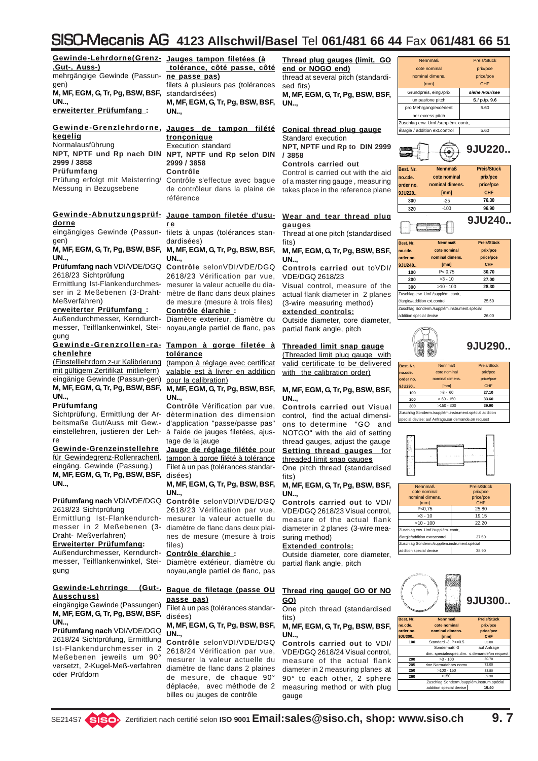**Gewinde-Lehrdorne(Grenz- Jauges tampon filetées (à ,Gut-, Auss-)** mehrgängige Gewinde (Passungen) **M, MF, EGM, G, Tr, Pg, BSW, BSF, UN..,**

**erweiterter Prüfumfang :**

### **Gewinde-Grenzlehrdorne, Jauges de tampon filété kegelig** Normalausführung **NPT, NPTF und Rp nach DIN NPT, NPTF und Rp selon DIN 2999 / 3858 Prüfumfang**

Prüfung erfolgt mit Meisterring/ Messung in Bezugsebene

### **Gewinde-Abnutzungsprüf-Jauge tampon filetée d'usudorne**

eingängiges Gewinde (Passungen)

### **M, MF, EGM, G, Tr, Pg, BSW, BSF, UN..,**

**Prüfumfang nach** VDI/VDE/DGQ 2618/23 Sichtprüfung

Ermittlung Ist-Flankendurchmesser in 2 Meßebenen (3-Draht-Meßverfahren)

### **erweiterter Prüfumfang :**

Außendurchmesser, Kerndurchmesser, Teilflankenwinkel, Stei-noyau,angle partiel de flanc, pas gung

### **Gewinde-Grenzrollen-ra-Tampon à gorge filetée à chenlehre**

(Einstelllehrdorn z-ur Kalibrierung mit gültigem Zertifikat mitliefern) eingänige Gewinde (Passun-gen) **M, MF, EGM, G, Tr, Pg, BSW, BSF, M, MF, EGM, G, Tr, Pg, BSW, BSF, UN..,**

### **Prüfumfang**

Sichtprüfung, Ermittlung der Arbeitsmaße Gut/Auss mit Gew. einstellehren, justieren der Lehre

**Gewinde-Grenzeinstellehre** für Gewindegrenz-Rollenrachenl. eingäng. Gewinde (Passung.) **M, MF, EGM, G, Tr, Pg, BSW, BSF, UN..,**

### **Prüfumfang nach** VDI/VDE/DGQ 2618/23 Sichtprüfung

Ermittlung Ist-Flankendurchmesser in 2 Meßebenen (3- Draht- Meßverfahren)

### **Erweiterter Prüfumfang:**

Außendurchmesser, Kerndurchmesser, Teilflankenwinkel, Steigung

### **Gewinde-Lehrringe (Gut-, Ausschuss)**

eingängige Gewinde (Passungen) **M, MF, EGM, G, Tr, Pg, BSW, BSF, UN..,**

**Prüfumfang nach** VDI/VDE/DGQ 2618/24 Sichtprüfung, Ermittlung Ist-Flankendurchmesser in 2 Meßebenen jeweils um 90° versetzt, 2-Kugel-Meß-verfahren oder Prüfdorn

### **tolérance, côté passe, côté ne passe pas)**

filets à plusieurs pas (tolérances standardisées)

**M, MF, EGM, G, Tr, Pg, BSW, BSF, UN..,**

### **tronçonique** Execution standard **2999 / 3858 Contrôle** Contrôle s'effectue avec bague

de contrôleur dans la plaine de référence

### **r e**

filets à unpas (tolérances standardisées)

### **M, MF, EGM, G, Tr, Pg, BSW, BSF, UN..,**

**Contrôle** selonVDI/VDE/DGQ 2618/23 Vérification par vue, mesurer la valeur actuelle du diamètre de flanc dans deux plaines de mesure (mesure à trois files) **Contrôle élarchie :**

Diamètre exterieur, diamètre du

### **tolérance**

(tampon à réglage avec certificat valable est à livrer en addition pour la calibration)

**UN..,**

**Contrôle** Vérification par vue, dètermination des dimension d'application "passe/passe pas" à l'aide de jauges filetées, ajustage de la jauge

**Jauge de réglage filétée** pour tampon à gorge filété à tolérance Filet à un pas (tolérances standardisées)

#### **M, MF, EGM, G, Tr, Pg, BSW, BSF, UN..,**

**Contrôle** selonVDI/VDE/DGQ 2618/23 Vérification par vue, mesurer la valeur actuelle du diamètre de flanc dans deux plaines de mesure (mesure à trois files)

#### **Contrôle élarchie :**

Diamètre extérieur, diamètre du noyau,angle partiel de flanc, pas

### **Bague de filetage (passe ou passe pas)**

Filet à un pas (tolérances standardisées)

### **M, MF, EGM, G, Tr, Pg, BSW, BSF, UN..,**

**Contrôle** selonVDI/VDE/DGQ 2618/24 Vérification par vue, mesurer la valeur actuelle du diamètre de flanc dans 2 plaines de mesure, de chaque 90° déplacée, avec méthode de 2 billes ou jauges de contrôle

#### **Thread plug gauges (limit, GO end or NOGO end)**

thread at several pitch (standardised fits)

**M, MF, EGM, G, Tr, Pg, BSW, BSF, UN..,**

#### **Conical thread plug gauge** Standard execution

**NPT, NPTF und Rp to DIN 2999 / 3858**

### **Controls carried out**

Control is carried out with the aid of a master ring gauge , measuring takes place in the reference plane

### **Wear and tear thread plug gauges**

Thread at one pitch (standardised fits)

### **M, MF, EGM, G, Tr, Pg, BSW, BSF, UN..,**

**Controls carried out** toVDI/ VDE/DGQ 2618/23

Visual control, measure of the actual flank diameter in 2 planes (3-wire measuring method)

### **extended controls:**

Outside diameter, core diameter, partial flank angle, pitch

### **Threaded limit snap gauge**

(Threaded limit plug gauge with valid certificate to be delivered with the calibration order)

### **M, MF, EGM, G, Tr, Pg, BSW, BSF, UN..,**

**Controls carried out** Visual control, find the actual dimensions to determine "GO and NOTGO" with the aid of setting thread gauges, adjust the gauge **Setting thread gauges** for threaded limit snap gauge**s** One pitch thread (standardised fits)

**M, MF, EGM, G, Tr, Pg, BSW, BSF, UN..,**

**Controls carried out** to VDI/ VDE/DGQ 2618/23 Visual control, measure of the actual flank diameter in 2 planes (3-wire measuring method)

### **Extended controls:**

Outside diameter, core diameter, partial flank angle, pitch

### **Thread ring gauge( GO or NO GO)**

One pitch thread (standardised fits)

### **M, MF, EGM, G, Tr, Pg, BSW, BSF, UN..,**

**Controls carried out** to VDI/ VDE/DGQ 2618/24 Visual control, measure of the actual flank diameter in 2 measuring planes at 90° to each other, 2 sphere measuring method or with plug gauge





| Best. Nr.                                    | <b>Nennmaß</b>  | <b>Preis/Stück</b> |
|----------------------------------------------|-----------------|--------------------|
| no.cde.                                      | cote nominal    | prix/pce           |
| order no.                                    | nominal dimens. | price/pce          |
| 9JU240                                       | [mm]            | CHF                |
| 100                                          | P < 0.75        | 30.70              |
| 200                                          | $>3 - 10$       | 27.00              |
| 300                                          | $>10 - 100$     | 28.30              |
| Zuschlag erw. Umf./supplém. contr,           |                 |                    |
| élargie//addition ext.control                |                 | 25.50              |
| Zuschlag Sonderm./supplém.instrument.spécial |                 |                    |
| addition special devise                      |                 | 26.00              |



| Best. Nr.                                             | <b>Nennmaß</b>  | Preis/Stück |
|-------------------------------------------------------|-----------------|-------------|
| no.cde.                                               | cote nominal    | prix/pce    |
| order no.                                             | nominal dimens. | price/pce   |
| 9JU290                                                | [mm]            | CHF         |
| 100                                                   | $>3 - 60$       | 27.10       |
| 200                                                   | $>60 - 150$     | 33.60       |
| 39.90<br>$>150 - 300$<br>300                          |                 |             |
| Zuschlag Sonderm./supplém.instrument.spécial addition |                 |             |
| special devise: auf Anfrage, sur demande, on request  |                 |             |



| <b>Nennmaß</b>                               | Preis/Stück |  |
|----------------------------------------------|-------------|--|
| cote nominal                                 | prix/pce    |  |
| nominal dimens.                              | price/pce   |  |
| [mm]                                         | CHF         |  |
| P<0,75                                       | 25.80       |  |
| $>3 - 10$                                    | 19.15       |  |
| $>10 - 100$                                  | 22.20       |  |
| Zuschlag erw. Umf./supplém. contr,           |             |  |
| élargie/addition extracontrol                | 37.50       |  |
| Zuschlag Sonderm./supplém.instrument.spécial |             |  |
| addition special devise<br>38.90             |             |  |

# **9JU300..**

| Best. Nr. | <b>Nennmaß</b>                               | Preis/Stück |
|-----------|----------------------------------------------|-------------|
| no.cde.   | cote nominal                                 | prix/pce    |
| order no. | nominal dimens.                              | price/pce   |
| 9.JU300   | [mm]                                         | CHF         |
| 100       | Standard -3, P<=0.5                          | 33.80       |
|           | Sondermaß -3                                 | auf Anfrage |
|           | dim. speciale/spec.dim. s.demande/on request |             |
| 200       | $>3 - 100$                                   | 30.70       |
| 205       | sine Norm/dehors norme                       | 73.00       |
| 250       | $>100 - 150$                                 | 33.80       |
| 260       | >150                                         | 59.30       |
|           | Zuschlag Sonderm./supplém.instrum.spécial    |             |
|           | addition special devise                      | 19.40       |
|           |                                              |             |

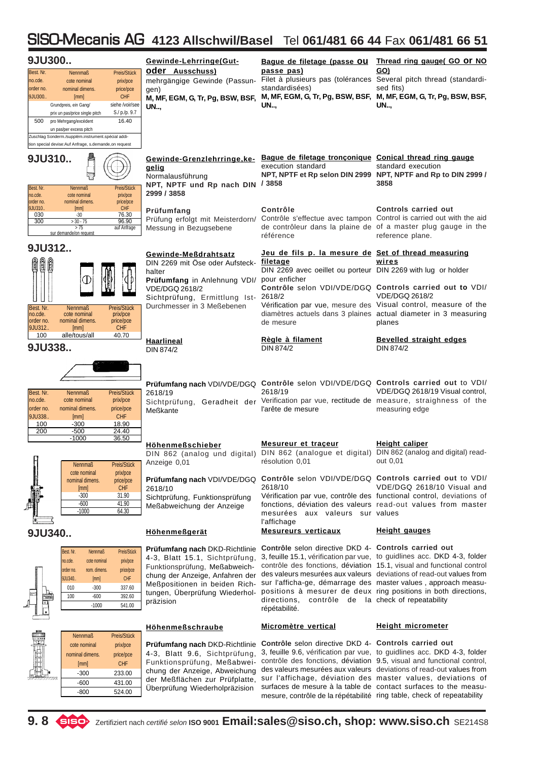|                                             | 9JU300                                                                        |                                                              | Gewinde-Lehrringe(Gut-                                                                                                               | Bague de filetage (passe OU                                                                                                | Thread ring gauge( GO Or NO                                                                                                                                                                                                      |
|---------------------------------------------|-------------------------------------------------------------------------------|--------------------------------------------------------------|--------------------------------------------------------------------------------------------------------------------------------------|----------------------------------------------------------------------------------------------------------------------------|----------------------------------------------------------------------------------------------------------------------------------------------------------------------------------------------------------------------------------|
| Best. Nr.<br>no.cde.                        | <b>Nennmaß</b><br>cote nominal                                                | Preis/Stück<br>prix/pce                                      | <b>oder Ausschuss)</b><br>mehrgängige Gewinde (Passun-                                                                               | passe pas)                                                                                                                 | GO)<br>Filet à plusieurs pas (tolérances Several pitch thread (standardi-                                                                                                                                                        |
| order no.<br>9JU300                         | nominal dimens.<br>[mm]                                                       | price/pce<br><b>CHF</b>                                      | gen)<br>M, MF, EGM, G, Tr, Pg, BSW, BSF,                                                                                             | standardisées)<br>M, MF, EGM, G, Tr, Pg, BSW, BSF,                                                                         | sed fits)<br>M, MF, EGM, G, Tr, Pg, BSW, BSF,                                                                                                                                                                                    |
|                                             | Grundpreis, ein Gang/<br>prix un pas/price single pitch                       | siehe /voir/see<br>S./ p./p. 9.7                             | UN                                                                                                                                   | UN                                                                                                                         | UN                                                                                                                                                                                                                               |
| 500                                         | pro Mehrgang/excédent                                                         | 16.40                                                        |                                                                                                                                      |                                                                                                                            |                                                                                                                                                                                                                                  |
|                                             | un pas/per excess pitch<br>Zuschlag Sonderm./supplém.instrument.spécial addi- |                                                              |                                                                                                                                      |                                                                                                                            |                                                                                                                                                                                                                                  |
|                                             | tion special devise:Auf Anfrage, s.demande,on request                         |                                                              |                                                                                                                                      |                                                                                                                            |                                                                                                                                                                                                                                  |
| Best. Nr.                                   | 9JU310<br><b>Nennmaß</b>                                                      | Preis/Stück                                                  | Gewinde-Grenzlehrringe, ke-<br>gelig<br>Normalausführung<br>NPT, NPTF und Rp nach DIN / 3858                                         | Bague de filetage tronçonique Conical thread ring gauge<br>execution standard                                              | standard execution<br>NPT, NPTF et Rp selon DIN 2999 NPT, NPTF and Rp to DIN 2999 /<br>3858                                                                                                                                      |
| no.cde.<br>order no.                        | cote nominal<br>nominal dimens.                                               | prix/pce<br>price/pce                                        | 2999 / 3858                                                                                                                          |                                                                                                                            |                                                                                                                                                                                                                                  |
| 9JU310.<br>030                              | [mm]<br>$-30$                                                                 | <b>CHF</b><br>76.30                                          | Prüfumfang                                                                                                                           | Contrôle<br>Prüfung erfolgt mit Meisterdorn/ Contrôle s'effectue avec tampon Control is carried out with the aid           | <b>Controls carried out</b>                                                                                                                                                                                                      |
| 300                                         | $> 30 - 75$<br>> 75<br>sur demande/on request                                 | 96.90<br>auf Anfrage                                         | Messung in Bezugsebene                                                                                                               |                                                                                                                            | de contrôleur dans la plaine de of a master plug gauge in the                                                                                                                                                                    |
|                                             |                                                                               |                                                              |                                                                                                                                      | référence                                                                                                                  | reference plane.                                                                                                                                                                                                                 |
| ûî                                          | 9JU312                                                                        |                                                              | Gewinde-Meßdrahtsatz<br>DIN 2269 mit Öse oder Aufsteck- filetage<br>halter<br>Prüfumfang in Anlehnung VDI/ pour enficher             | Jeu de fils p. la mesure de Set of thread measuring<br>DIN 2269 avec oeillet ou porteur DIN 2269 with lug or holder        | wires                                                                                                                                                                                                                            |
| Best. Nr.<br>no.cde.<br>order no.           | <b>Nennmaß</b><br>cote nominal<br>nominal dimens.                             | Preis/Stück<br>prix/pce<br>price/pce                         | <b>VDE/DGQ 2618/2</b><br>Sichtprüfung, Ermittlung Ist- 2618/2<br>Durchmesser in 3 Meßebenen                                          | de mesure                                                                                                                  | Contrôle selon VDI/VDE/DGQ Controls carried out to VDI/<br><b>VDE/DGQ 2618/2</b><br>Vérification par vue, mesure des Visual control, measure of the<br>diamètres actuels dans 3 plaines actual diameter in 3 measuring<br>planes |
| 9JU312.<br>100                              | $\mathsf{mml}$<br>alle/tous/all<br>9JU338                                     | <b>CHF</b><br>40.70                                          | Haarlineal<br>DIN 874/2                                                                                                              | Règle à filament<br>DIN 874/2                                                                                              | <b>Bevelled straight edges</b><br>DIN 874/2                                                                                                                                                                                      |
|                                             |                                                                               |                                                              |                                                                                                                                      |                                                                                                                            |                                                                                                                                                                                                                                  |
|                                             |                                                                               |                                                              | Prüfumfang nach VDI/VDE/DGQ                                                                                                          |                                                                                                                            | Contrôle selon VDI/VDE/DGQ Controls carried out to VDI/                                                                                                                                                                          |
| Best. Nr.<br>no.cde.<br>order no.<br>9JU338 | <b>Nennmaß</b><br>cote nominal<br>nominal dimens.<br>[mm]                     | Preis/Stück<br>prix/pce<br>price/pce<br>CHF                  | 2618/19<br>Meßkante                                                                                                                  | 2618/19<br>Sichtprüfung, Geradheit der Verification par vue, rectitude de measure, straighness of the<br>l'arête de mesure | VDE/DGQ 2618/19 Visual control,<br>measuring edge                                                                                                                                                                                |
| 100<br>200                                  | $-300$<br>-500                                                                | 18.90<br>24.40                                               |                                                                                                                                      |                                                                                                                            |                                                                                                                                                                                                                                  |
|                                             | $-1000$                                                                       | 36.50                                                        | <b>Höhenmeßschieber</b>                                                                                                              | Mesureur et traceur                                                                                                        | <b>Height caliper</b>                                                                                                                                                                                                            |
|                                             | <b>Nennmaß</b><br>cote nominal                                                | Preis/Stück<br>prix/pce                                      | DIN 862 (analog und digital)<br>Anzeige 0,01                                                                                         | résolution 0,01                                                                                                            | DIN 862 (analogue et digital) DIN 862 (analog and digital) read-<br>out 0.01                                                                                                                                                     |
|                                             | nominal dimens.<br>[mm]                                                       | price/pce<br><b>CHF</b>                                      | Prüfumfang nach VDI/VDE/DGQ<br>2618/10                                                                                               | 2618/10                                                                                                                    | Contrôle selon VDI/VDE/DGQ Controls carried out to VDI/<br>VDE/DGQ 2618/10 Visual and                                                                                                                                            |
|                                             | $-300$<br>$-600$<br>$-1000$                                                   | 31.90<br>41.90<br>64.30                                      | Sichtprüfung, Funktionsprüfung<br>Meßabweichung der Anzeige                                                                          | mesurées aux valeurs sur values                                                                                            | Vérification par vue, contrôle des functional control, deviations of<br>fonctions, déviation des valeurs read-out values from master                                                                                             |
|                                             | 9JU340                                                                        |                                                              | <b>Höhenmeßgerät</b>                                                                                                                 | l'affichage<br><b>Mesureurs verticaux</b>                                                                                  | <b>Height gauges</b>                                                                                                                                                                                                             |
|                                             | Best. Nr.<br>Nennmaß<br>no.cde.<br>cote nominal<br>order no.<br>nom. dimens.  | Preis/Stück<br>prix/pce<br>price/pce                         | Prüfumfang nach DKD-Richtlinie<br>4-3, Blatt 15.1, Sichtprüfung,<br>Funktionsprüfung, Meßabweich-<br>chung der Anzeige, Anfahren der | Contrôle selon directive DKD 4- Controls carried out                                                                       | 3, feuille 15.1, vérification par vue, to guidlines acc. DKD 4-3, folder<br>contrôle des fonctions, déviation 15.1, visual and functional control<br>des valeurs mesurées aux valeurs deviations of read-out values from         |
|                                             | 9JU340.<br>[mm]<br>010<br>$-300$<br>$-600$<br>100<br>$-1000$                  | <b>CHF</b><br>337.60<br>392.60<br>541.00                     | Meßpositionen in beiden Rich-<br>tungen, Überprüfung Wiederhol-<br>präzision                                                         | directions,<br>répétabilité.                                                                                               | sur l'afficha-ge, démarrage des master values, approach measu-<br>positions à mesurer de deux ring positions in both directions,<br>contrôle de la check of repeatability                                                        |
|                                             |                                                                               |                                                              | Höhenmeßschraube                                                                                                                     | Micromètre vertical                                                                                                        | <b>Height micrometer</b>                                                                                                                                                                                                         |
| <b>ENGINEERING</b>                          | <b>Nennmaß</b><br>cote nominal<br>nominal dimens.<br>[mm]<br>200              | Preis/Stück<br>prix/pce<br>price/pce<br><b>CHF</b><br>no ccc | Prüfumfang nach DKD-Richtlinie<br>4-3, Blatt 9.6, Sichtprüfung,<br>Funktionsprüfung, Meßabwei-<br>chung der Anzeige. Abweichung      | Contrôle selon directive DKD 4- Controls carried out                                                                       | 3, feuille 9.6, vérification par vue, to guidlines acc. DKD 4-3, folder<br>contrôle des fonctions, déviation 9.5, visual and functional control,<br>des valeurs mesurées aux valeurs deviations of read-out values from          |

Überprüfung Wiederholpräzision surfaces de mesure à la table de contact surfaces to the measumesure, contrôle de la répétabilité ring table, check of repeatability deviations of read-out values from master values, deviations of



血管

-300 233.00 -600 431.00 -800 524.00

sur l'affichage, déviation des

chung der Anzeige, Abweichung der Meßflächen zur Prüfplatte,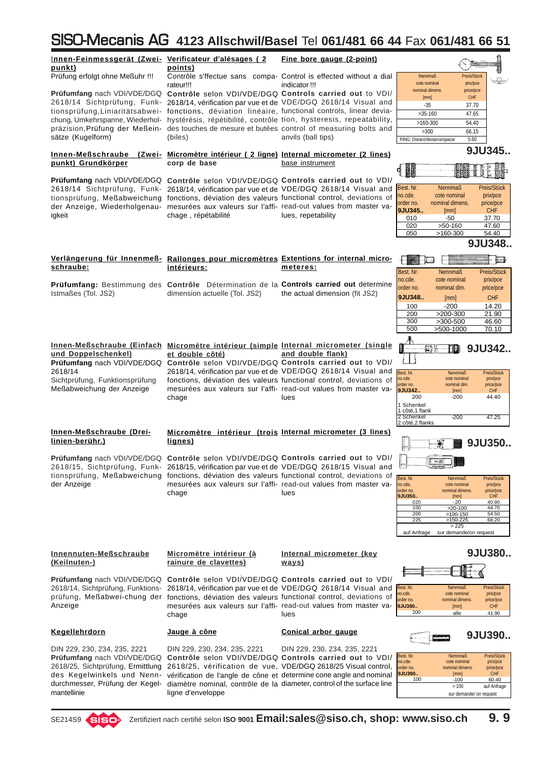| Innen-Feinmessgerät (Zwei- Verificateur d'alésages (2<br>punkt)   | points)                                                                                                                                                                                         | Fine bore gauge (2-point)                                                                                                            |                                                                                                  |
|-------------------------------------------------------------------|-------------------------------------------------------------------------------------------------------------------------------------------------------------------------------------------------|--------------------------------------------------------------------------------------------------------------------------------------|--------------------------------------------------------------------------------------------------|
| Prüfung erfolgt ohne Meßuhr !!!                                   | rateur!!!                                                                                                                                                                                       | Contrôle s'ffectue sans compa- Control is effected without a dial<br>indicator !!!                                                   | <b>Nennmaß</b><br>Preis/Stück<br>cote nominal<br>prix/pce                                        |
|                                                                   | 2618/14 Sichtprüfung, Funk- 2618/14, vérification par vue et de VDE/DGQ 2618/14 Visual and                                                                                                      | Prüfumfang nach VDI/VDE/DGQ Contrôle selon VDI/VDE/DGQ Controls carried out to VDI/                                                  | nominal dimens.<br>price/pce<br><b>CHF</b><br>[mm]                                               |
|                                                                   | tionsprüfung, Liniaritätsabwei- fonctions, déviation linéaire, functional controls, linear devia-                                                                                               |                                                                                                                                      | $-35$<br>37.70<br>$>35-160$<br>47.65                                                             |
| chung, Umkehrspanne, Wiederhol-<br>präzision, Prüfung der Meßein- | hystérésis, répétibilité, contrôle tion, hysteresis, repeatability,                                                                                                                             | des touches de mesure et butées control of measuring bolts and                                                                       | $>160-300$<br>54.40                                                                              |
| sätze (Kugelform)                                                 | (biles)                                                                                                                                                                                         | anvils (ball tips)                                                                                                                   | >300<br>66.15<br>RING: Distanz/distance/spacer<br>5.60                                           |
| punkt) Grundkörper                                                | Innen-Meßschraube (Zwei- Micromètre intérieur (2 ligne) Internal micrometer (2 lines)<br>corp de base                                                                                           | base instrument                                                                                                                      | 9JU345.                                                                                          |
|                                                                   | Prüfumfang nach VDI/VDE/DGQ Contrôle selon VDI/VDE/DGQ Controls carried out to VDI/                                                                                                             |                                                                                                                                      |                                                                                                  |
|                                                                   | 2618/14 Sichtprüfung, Funk- 2618/14, vérification par vue et de VDE/DGQ 2618/14 Visual and                                                                                                      |                                                                                                                                      | Best. Nr.<br><b>Nennmaß</b><br>Preis/Stück<br>no.cde.<br>cote nominal<br>prix/pce                |
|                                                                   | tionsprüfung, Meßabweichung fonctions, déviation des valeurs functional control, deviations of<br>der Anzeige, Wiederholgenau- mesurées aux valeurs sur l'affi- read-out values from master va- |                                                                                                                                      | nominal dimens.<br>order no.<br>price/pce                                                        |
| igkeit                                                            | chage, répétabilité                                                                                                                                                                             | lues, repetability                                                                                                                   | 9JU345<br>CHF<br>[mm]<br>010<br>-50<br>37.70                                                     |
|                                                                   |                                                                                                                                                                                                 |                                                                                                                                      | 020<br>$>50-160$<br>47.60<br>050<br>$>160-300$<br>54.40                                          |
|                                                                   |                                                                                                                                                                                                 |                                                                                                                                      | 9JU348.                                                                                          |
| schraube:                                                         | Verlängerung für Innenmeß- Rallonges pour micromètres Extentions for internal micro-<br>intérieurs:                                                                                             | meteres:                                                                                                                             |                                                                                                  |
|                                                                   | <b>Prüfumfang:</b> Bestimmung des Contrôle Détermination de la Controls carried out determine                                                                                                   |                                                                                                                                      | Best. Nr.<br><b>Nennmaß</b><br>Preis/Stück<br>no.cde.<br>cote nominal<br>prix/pce                |
| Istmaßes (Tol. JS2)                                               | dimension actuelle (Tol. JS2)                                                                                                                                                                   | the actual dimension (fit JS2)                                                                                                       | order no.<br>nominal dim.<br>price/pce<br>9JU348<br><b>CHF</b><br>[mm]                           |
|                                                                   |                                                                                                                                                                                                 |                                                                                                                                      | 100<br>$-200$<br>14.20                                                                           |
|                                                                   |                                                                                                                                                                                                 |                                                                                                                                      | 200<br>$>200-300$<br>21.90<br>300<br>$>300-500$<br>46.60                                         |
|                                                                   |                                                                                                                                                                                                 |                                                                                                                                      | 500<br>>500-1000<br>70.10                                                                        |
|                                                                   | Innen-Meßschraube (Einfach Micromètre intérieur (simple Internal micrometer (single                                                                                                             |                                                                                                                                      | 9JU342.<br>同》<br>開                                                                               |
| und Doppelschenkel)                                               | et double côté)<br>Prüfumfang nach VDI/VDE/DGQ Contrôle selon VDI/VDE/DGQ Controls carried out to VDI/                                                                                          | and double flank)                                                                                                                    |                                                                                                  |
| 2618/14<br>Sichtprüfung, Funktionsprüfung                         |                                                                                                                                                                                                 | 2618/14, vérification par vue et de VDE/DGQ 2618/14 Visual and<br>fonctions, déviation des valeurs functional control, deviations of | Best. Nr.<br>Nennmaß<br>Preis/Stück<br>no.cde.<br>cote nominal<br>prix/pce                       |
| Meßabweichung der Anzeige                                         |                                                                                                                                                                                                 | mesurées aux valeurs sur l'affi- read-out values from master va-                                                                     | order no.<br>nominal dim.<br>price/pce<br>9JU342<br><b>CHF</b><br>[mm]                           |
|                                                                   | chage                                                                                                                                                                                           | lues                                                                                                                                 | $-200$<br>200<br>44.40<br>1 Schenkel                                                             |
|                                                                   |                                                                                                                                                                                                 |                                                                                                                                      | 1 côté,1 flank<br>2 Schenkel<br>$-200$<br>47.25                                                  |
| Innen-Meßschraube (Drei-                                          |                                                                                                                                                                                                 | Micromètre intérieur (trois Internal micrometer (3 lines)                                                                            | 2 côté, 2 flanks                                                                                 |
| linien-berühr.)                                                   | lignes)                                                                                                                                                                                         |                                                                                                                                      | 9JU350<br>Jэ                                                                                     |
|                                                                   | Prüfumfang nach VDI/VDE/DGQ Contrôle selon VDI/VDE/DGQ Controls carried out to VDI/<br>2618/15, Sichtprüfung, Funk- 2618/15, vérification par vue et de VDE/DGQ 2618/15 Visual and              |                                                                                                                                      | <b>YY 00</b>                                                                                     |
| der Anzeige                                                       | tionsprüfung, Meßabweichung fonctions, déviation des valeurs functional control, deviations of                                                                                                  | mesurées aux valeurs sur l'affi- read-out values from master va-                                                                     | Best. Nr.<br>Preis/Stück<br>Nennmaß<br>cote nominal                                              |
|                                                                   | chage                                                                                                                                                                                           | lues                                                                                                                                 | no.cde.<br>prix/pce<br>order no.<br>nominal dimens.<br>price/pce<br>9JU350<br>[mm]<br><b>CHF</b> |
|                                                                   |                                                                                                                                                                                                 |                                                                                                                                      | 020<br>$-20$<br>40.90<br>$>20-100$<br>44.70<br>100                                               |
|                                                                   |                                                                                                                                                                                                 |                                                                                                                                      | 200<br>>100-150<br>54.50<br>$>150-225$<br>225<br>68.20                                           |
|                                                                   |                                                                                                                                                                                                 |                                                                                                                                      | >225<br>auf Anfrage<br>sur demande/on request                                                    |
| Innennuten-Meßschraube                                            | Micromètre intérieur (à                                                                                                                                                                         | Internal micrometer (key                                                                                                             | 9JU380                                                                                           |
| (Keilnuten-)                                                      | rainure de clavettes)                                                                                                                                                                           | <u>ways)</u>                                                                                                                         |                                                                                                  |
|                                                                   | Prüfumfang nach VDI/VDE/DGQ Contrôle selon VDI/VDE/DGQ Controls carried out to VDI/                                                                                                             |                                                                                                                                      | Preis/Stück<br>Nennmaß                                                                           |
| 2618/14, Sichtprüfung, Funktions-                                 | prüfung, Meßabwei-chung der fonctions, déviation des valeurs functional control, deviations of                                                                                                  | 2618/14, vérification par vue et de VDE/DGQ 2618/14 Visual and                                                                       | Best. Nr.<br>no.cde.<br>cote nominal<br>prix/pce<br>order no.<br>nominal dimens.<br>price/pce    |
| Anzeige                                                           | chage                                                                                                                                                                                           | mesurées aux valeurs sur l'affi- read-out values from master va-<br>lues                                                             | 9JU380<br>[mm]<br><b>CHF</b><br>200<br>alle<br>41.90                                             |
| Kegellehrdorn                                                     | <u>Jauge à cône</u>                                                                                                                                                                             | Conical arbor gauge                                                                                                                  | 9JU390                                                                                           |
| DIN 229, 230, 234, 235, 2221                                      | DIN 229, 230, 234, 235, 2221                                                                                                                                                                    | DIN 229, 230, 234, 235, 2221                                                                                                         |                                                                                                  |
| <b>Prüfumfang</b> nach VDI/VDE/DGQ                                |                                                                                                                                                                                                 | Contrôle selon VDI/VDE/DGQ Controls carried out to VDI/                                                                              | Best. Nr.<br>Nennmaß<br>Preis/Stück<br>no.cde.<br>cote nominal<br>prix/pce                       |
| 2618/25, Sichtprüfung, Ermittlung<br>des Kegelwinkels und Nenn-   |                                                                                                                                                                                                 | 2618/25, vérification de vue, VDE/DGQ 2618/25 Visual control,<br>vérification de l'angle de cône et determine cone angle and nominal | order no.<br>nominal dimens.<br>price/pce<br>9JU390<br><b>CHF</b><br>[mm]                        |
| durchmesser, Prüfung der Kegel-                                   |                                                                                                                                                                                                 | diamètre nominal, contrôle de la diameter, control of the surface line                                                               | 100<br>$-100$<br>60.40<br>>100<br>auf Anfrage                                                    |
| mantellinie                                                       | ligne d'enveloppe                                                                                                                                                                               |                                                                                                                                      | sur demande/ on request                                                                          |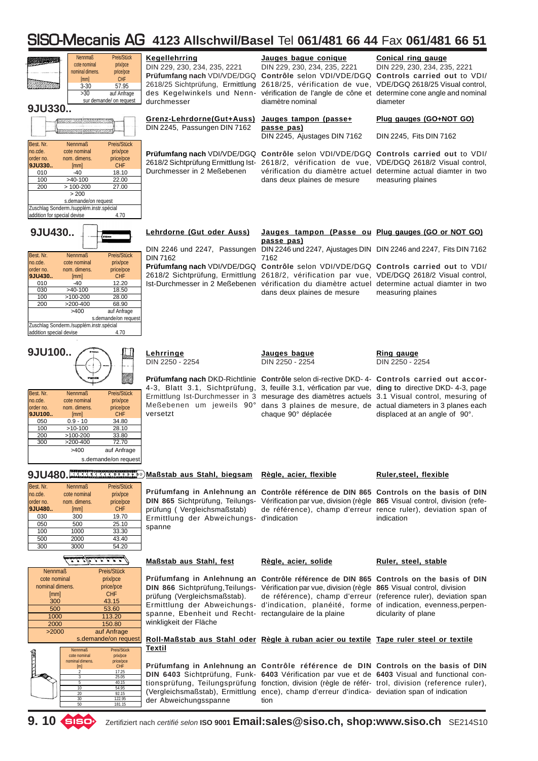| טר <i>ו</i> טוו וטטטו זי טטונ                                                                                                                                                                                                                                                                                                                                                                                        | ZY ANSUNYMIZUSEL                                                                                                 |                                                                                                                                                                                                                                                                                                                                                                                                                                                                                                    | $151$ VV $197$ VV $177$ $180$ VV $1770$ I VV $191$                                     |
|----------------------------------------------------------------------------------------------------------------------------------------------------------------------------------------------------------------------------------------------------------------------------------------------------------------------------------------------------------------------------------------------------------------------|------------------------------------------------------------------------------------------------------------------|----------------------------------------------------------------------------------------------------------------------------------------------------------------------------------------------------------------------------------------------------------------------------------------------------------------------------------------------------------------------------------------------------------------------------------------------------------------------------------------------------|----------------------------------------------------------------------------------------|
| Preis/Stück<br>Nennmaß<br>cote nominal<br>prix/pce<br>nominal dimens.<br>price/pce<br>CHF<br>[mm]<br>$3 - 30$<br>57.95<br>>30<br>auf Anfrage<br>sur demande/ on request<br>9JU330.                                                                                                                                                                                                                                   | <b>Kegellehrring</b><br>DIN 229, 230, 234, 235, 2221<br>durchmesser                                              | Jauges bague conique<br>DIN 229, 230, 234, 235, 2221<br>Prüfumfang nach VDI/VDE/DGQ Contrôle selon VDI/VDE/DGQ Controls carried out to VDI/<br>2618/25 Sichtprüfung, Ermittlung 2618/25, vérification de vue, VDE/DGQ 2618/25 Visual control,<br>des Kegelwinkels und Nenn- vérification de l'angle de cône et determine cone angle and nominal<br>diamètre nominal                                                                                                                                | <b>Conical ring gauge</b><br>DIN 229, 230, 234, 235, 2221<br>diameter                  |
| ******<br>Best. Nr.<br><b>Nennmaß</b><br>Preis/Stück                                                                                                                                                                                                                                                                                                                                                                 | Grenz-Lehrdorne(Gut+Auss)<br>DIN 2245, Passungen DIN 7162                                                        | Jauges tampon (passe+<br>passe pas)<br>DIN 2245, Ajustages DIN 7162                                                                                                                                                                                                                                                                                                                                                                                                                                | Plug gauges (GO+NOT GO)<br>DIN 2245, Fits DIN 7162                                     |
| no.cde.<br>cote nominal<br>prix/pce<br>nom. dimens.<br>order no.<br>price/pce<br><b>CHF</b><br>9JU330<br>[mm]<br>18.10<br>010<br>$-40$<br>$>40-100$<br>22.00<br>100<br>$>100-200$<br>27.00<br>200<br>> 200<br>s.demande/on request<br>Zuschlag Sonderm./supplém.instr.spécial<br>addition for special devise<br>4.70                                                                                                 | Durchmesser in 2 Meßebenen                                                                                       | Prüfumfang nach VDI/VDE/DGQ Contrôle selon VDI/VDE/DGQ Controls carried out to VDI/<br>2618/2 Sichtprüfung Ermittlung Ist- 2618/2, vérification de vue, VDE/DGQ 2618/2 Visual control,<br>dans deux plaines de mesure                                                                                                                                                                                                                                                                              | vérification du diamètre actuel determine actual diamter in two<br>measuring plaines   |
| 9JU430<br>Best. Nr.<br><b>Nennmaß</b><br>Preis/Stück<br>no.cde.<br>cote nominal<br>prix/pce<br>order no.<br>nom. dimens.<br>price/pce<br><b>CHF</b><br>9JU430<br>[mm]<br>$-40$<br>12.20<br>010<br>030<br>$>40-100$<br>18.50<br>100<br>$>100-200$<br>28.00<br>200<br>$>200-400$<br>68.90<br>>400<br>auf Anfrage<br>s.demande/on request<br>Zuschlag Sonderm./supplém.instr.spécial<br>4.70<br>addition special devise | Lehrdorne (Gut oder Auss)<br>DIN 7162                                                                            | Jauges tampon (Passe ou Plug gauges (GO or NOT GO)<br>passe pas)<br>DIN 2246 und 2247, Passungen DIN 2246 und 2247, Ajustages DIN DIN 2246 and 2247, Fits DIN 7162<br>7162<br>Prüfumfang nach VDI/VDE/DGQ Contrôle selon VDI/VDE/DGQ Controls carried out to VDI/<br>2618/2 Sichtprüfung, Ermittlung 2618/2, vérification par vue, VDE/DGQ 2618/2 Visual control,<br>Ist-Durchmesser in 2 Meßebenen vérification du diamètre actuel determine actual diamter in two<br>dans deux plaines de mesure | measuring plaines                                                                      |
| 9JU100                                                                                                                                                                                                                                                                                                                                                                                                               | Lehrringe<br>DIN 2250 - 2254                                                                                     | Jauges bague<br>DIN 2250 - 2254                                                                                                                                                                                                                                                                                                                                                                                                                                                                    | Ring gauge<br>DIN 2250 - 2254                                                          |
| Preis/Stück<br>Best. Nr.<br><b>Nennmaß</b><br>prix/pce<br>no.cde.<br>cote nominal<br>order no.<br>nom. dimens.<br>price/pce<br><b>CHF</b><br>9JU100<br>[mm]<br>$0.9 - 10$<br>34.80<br>050<br>100<br>$>10-100$<br>28.10<br>200<br>$>100-200$<br>33.80<br>$>200-400$<br>300<br>72.70<br>>400<br>auf Anfrage<br>s.demande/on request                                                                                    | versetzt                                                                                                         | Prüfumfang nach DKD-Richtlinie Contrôle selon di-rective DKD- 4- Controls carried out accor-<br>4-3, Blatt 3.1, Sichtprüfung, 3, feuille 3.1, vérfication par vue, ding to directive DKD- 4-3, page<br>Ermittlung Ist-Durchmesser in 3 mesurage des diamètres actuels 3.1 Visual control, mesuring of<br>Meßebenen um jeweils 90° dans 3 plaines de mesure, de actual diameters in 3 planes each<br>chaque 90° déplacée                                                                            | displaced at an angle of 90°.                                                          |
| 9JU480. 2000 Maßstab aus Stahl, biegsam                                                                                                                                                                                                                                                                                                                                                                              |                                                                                                                  | Règle, acier, flexible                                                                                                                                                                                                                                                                                                                                                                                                                                                                             | Ruler, steel, flexible                                                                 |
| Best. Nr.<br><b>Nennmaß</b><br>Preis/Stück<br>no.cde.<br>cote nominal<br>prix/pce<br>order no.<br>nom. dimens.<br>price/pce<br>9JU480<br><b>CHF</b><br>[mm]<br>300<br>19.70<br>030<br>050<br>500<br>25.10<br>100<br>1000<br>33.30<br>500<br>2000<br>43.40<br>300<br>54.20<br>3000                                                                                                                                    | prüfung (Vergleichsmaßstab)<br>Ermittlung der Abweichungs- d'indication<br>spanne                                | Prüfumfang in Anlehnung an Contrôle référence de DIN 865 Controls on the basis of DIN<br>DIN 865 Sichtprüfung, Teilungs- Vérification par vue, division (règle 865 Visual control, division (refe-                                                                                                                                                                                                                                                                                                 | de référence), champ d'erreur rence ruler), deviation span of<br>indication            |
| <i>ل شقت شدن</i> شاهست                                                                                                                                                                                                                                                                                                                                                                                               | Maßstab aus Stahl, fest                                                                                          | Règle, acier, solide                                                                                                                                                                                                                                                                                                                                                                                                                                                                               | Ruler, steel, stable                                                                   |
| <b>Nennmaß</b><br>Preis/Stück<br>cote nominal<br>prix/pce<br>price/pce<br>nominal dimens.<br><b>CHF</b><br>[mm]<br>300<br>43.15<br>500<br>53.60<br>113.20<br>1000<br>150.80<br>2000<br>auf Anfrage<br>>2000                                                                                                                                                                                                          | prüfung (Vergleichsmaßstab).<br>spanne, Ebenheit und Recht- rectangulaire de la plaine<br>winkligkeit der Fläche | Prüfumfang in Anlehnung an Contrôle référence de DIN 865 Controls on the basis of DIN<br>DIN 866 Sichtprüfung, Teilungs- Vérification par vue, division (règle 865 Visual control, division<br>Ermittlung der Abweichungs- d'indication, planéité, forme of indication, evenness, perpen-                                                                                                                                                                                                          | de référence), champ d'erreur (reference ruler), deviation span<br>dicularity of plane |
| s.demande/on request<br>Preis/Stück<br><b>Nennmaß</b><br><b>Canada</b><br>cote nominal<br>prix/pce<br>nominal dimens.<br>price/pce<br>[m]<br><b>CHF</b><br>17.25<br>2<br>$\overline{3}$<br>25.05<br>5<br>40.15<br>10<br>54.95<br>20<br>92.15<br>122.95<br>30<br>50<br>181.15                                                                                                                                         | Textil<br>der Abweichungsspanne                                                                                  | Roll-Maßstab aus Stahl oder Règle à ruban acier ou textile Tape ruler steel or textile<br>Prüfumfang in Anlehnung an Contrôle référence de DIN Controls on the basis of DIN<br>DIN 6403 Sichtprüfung, Funk- 6403 Vérification par vue et de 6403 Visual and functional con-<br>tionsprüfung, Teilungsprüfung fonction, division (règle de référ- trol, division (reference ruler),<br>(Vergleichsmaßstab), Ermittlung ence), champ d'erreur d'indica- deviation span of indication<br>tion         |                                                                                        |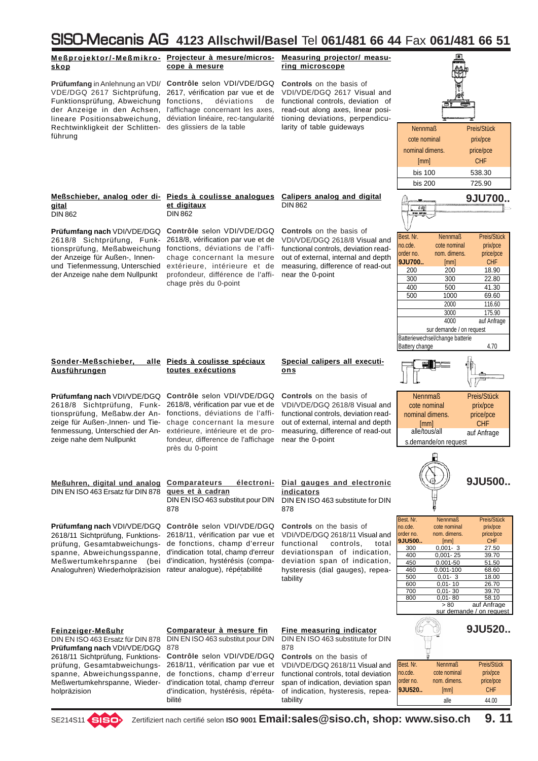

bilité

alle 44.00

tability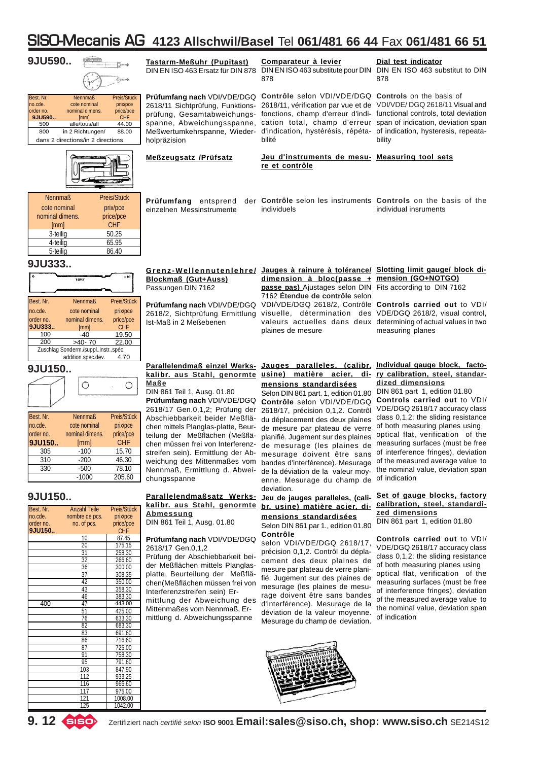|                                                                                               |                                                                                                                                           |                                                                               | <u>11 JU-IVIECANIIS AU  4123 AIISCNWII/BASEI  IEI U01/481 b6 44 FAX U01/481 b6 31</u>                                                                                        |                                                                                                                                                                                                                                                                                                |                                                                                                                                                  |
|-----------------------------------------------------------------------------------------------|-------------------------------------------------------------------------------------------------------------------------------------------|-------------------------------------------------------------------------------|------------------------------------------------------------------------------------------------------------------------------------------------------------------------------|------------------------------------------------------------------------------------------------------------------------------------------------------------------------------------------------------------------------------------------------------------------------------------------------|--------------------------------------------------------------------------------------------------------------------------------------------------|
| 9JU590                                                                                        |                                                                                                                                           | <b>Same</b><br>D) scap                                                        | Tastarm-Meßuhr (Pupitast)<br>DIN EN ISO 463 Ersatz für DIN 878                                                                                                               | Comparateur à levier<br>DIN EN ISO 463 substitute pour DIN DIN EN ISO 463 substitut to DIN<br>878                                                                                                                                                                                              | Dial test indicator<br>878                                                                                                                       |
| Best. Nr.<br>no.cde.<br>order no.<br>9JU590<br>500<br>800                                     | <b>Nennmaß</b><br>cote nominal<br>nominal dimens.<br>[mm]<br>alle/tous/all<br>in 2 Richtungen/<br>dans 2 directions/in 2 directions       | Preis/Stück<br>prix/pce<br>price/pce<br><b>CHF</b><br>44.00<br>88.00          | Prüfumfang nach VDI/VDE/DGQ<br>2618/11 Sichtprüfung, Funktions-<br>prüfung, Gesamtabweichungs-<br>spanne, Abweichungsspanne,<br>Meßwertumkehrspanne, Wieder-<br>holpräzision | <b>Contrôle</b> selon VDI/VDE/DGQ <b>Controls</b> on the basis of<br>2618/11, vérification par vue et de VDI/VDE/DGQ 2618/11 Visual and<br>fonctions, champ d'erreur d'indi- functional controls, total deviation<br>cation total, champ d'erreur span of indication, deviation span<br>bilité | d'indication, hystérésis, répéta- of indication, hysteresis, repeata-<br>bility                                                                  |
|                                                                                               |                                                                                                                                           |                                                                               | <b>Meßzeugsatz /Prüfsatz</b>                                                                                                                                                 | Jeu d'instruments de mesu- Measuring tool sets<br>re et contrôle                                                                                                                                                                                                                               |                                                                                                                                                  |
| <b>Nennmaß</b><br>cote nominal<br>nominal dimens.<br>[mm]<br>3-teilig<br>4-teilia<br>5-teilia |                                                                                                                                           | Preis/Stück<br>prix/pce<br>price/pce<br><b>CHF</b><br>50.25<br>65.95<br>86.40 | Prüfumfang entsprend<br>einzelnen Messinstrumente                                                                                                                            | der Contrôle selon les instruments Controls on the basis of the<br>individuels                                                                                                                                                                                                                 | individual insruments                                                                                                                            |
| 9JU333                                                                                        |                                                                                                                                           |                                                                               |                                                                                                                                                                              |                                                                                                                                                                                                                                                                                                |                                                                                                                                                  |
|                                                                                               | <b>15H7</b>                                                                                                                               | ۰18                                                                           | Grenz-Wellennutenlehre/<br><b>Blockmaß (Gut+Auss)</b><br>Passungen DIN 7162                                                                                                  | Jauges à rainure à tolérance/ Slotting limit gauge/ block di-<br>dimension à bloc(passe + mension (GO+NOTGO)<br>passe pas) Ajustages selon DIN Fits according to DIN 7162<br>7162 Étendue de contrôle selon                                                                                    |                                                                                                                                                  |
| Best. Nr.<br>no.cde.<br>order no.<br>9JU333<br>100<br>200                                     | <b>Nennmaß</b><br>cote nominal<br>nominal dimens.<br>[mm]<br>$-40$<br>$>40-70$<br>Zuschlag Sonderm./supplinstrspéc.<br>addition spec.dev. | Preis/Stück<br>prix/pce<br>price/pce<br>CHF<br>19.50<br>22.00<br>4.70         | Prüfumfang nach VDI/VDE/DGQ<br>2618/2, Sichtprüfung Ermittlung<br>Ist-Maß in 2 Meßebenen                                                                                     | visuelle, détermination des VDE/DGQ 2618/2, visual control,<br>plaines de mesure                                                                                                                                                                                                               | VDI/VDE/DGQ 2618/2, Contrôle Controls carried out to VDI/<br>valeurs actuelles dans deux determining of actual values in two<br>measuring planes |
| 9JU150                                                                                        |                                                                                                                                           |                                                                               |                                                                                                                                                                              | Parallelendmaß einzel Werks- Jauges paralleles, (calibr. Individual gauge block, facto-<br>kalibr aus Stabl genormte usine) matière acier di- ry calibration steel standar-                                                                                                                    |                                                                                                                                                  |
|                                                                                               |                                                                                                                                           |                                                                               |                                                                                                                                                                              |                                                                                                                                                                                                                                                                                                |                                                                                                                                                  |

| ,,,,,,,,,,, | ÷ |  |
|-------------|---|--|
|             |   |  |
|             |   |  |

| Best. Nr. | <b>Nennmaß</b>  | Preis/Stück |
|-----------|-----------------|-------------|
| no.cde.   | cote nominal    | prix/pce    |
| order no. | nominal dimens. | price/pce   |
| 9JU150    | [mm]            | <b>CHF</b>  |
| 305       | $-100$          | 15.70       |
| 310       | $-200$          | 46.30       |
| 330       | $-500$          | 78.10       |
|           | $-1000$         | 205.60      |

### **9JU150..**

| Best. Nr. | Anzahl Teile    | Preis/Stück |
|-----------|-----------------|-------------|
| no.cde.   | nombre de pcs.  | prix/pce    |
| order no. | no. of pcs.     | price/pce   |
| 9JU150    |                 | <b>CHF</b>  |
|           |                 |             |
|           | 10              | 87.45       |
|           | 20              | 175.15      |
|           | $\overline{31}$ | 258.30      |
|           | 32              | 266.60      |
|           | 36              | 300.00      |
|           | 37              | 308.35      |
|           | 42              | 350.00      |
|           | 43              | 358.30      |
|           | 46              | 383.30      |
| 400       | 47              | 443.00      |
|           | 51              | 425.00      |
|           | 76              | 633.30      |
|           | 82              | 683.30      |
|           | 83              | 691.60      |
|           | 86              | 716.60      |
|           | 87              | 725.00      |
|           | 91              | 758.30      |
|           | 95              | 791.60      |
|           | 103             | 847.90      |
|           | 112             | 933.25      |
|           | 116             | 966.60      |
|           | 1               | 975.00      |
|           | 121             | 1008.00     |
|           | 125             | 1042.00     |

### **Parallelendmaßsatz Werkskalibr. aus Stahl, genormte Abmessung**

chen mittels Planglas-platte, Beurteilung der Meßflächen (Meßflä-

streifen sein). Ermittlung der Abweichung des Mittenmaßes vom Nennmaß, Ermittlung d. Abwei-

DIN 861 Teil 1, Ausg. 01.80

chungsspanne

DIN 861 Teil 1, Ausg. 01.80 **Prüfumfang nach** VDI/VDE/DGQ

**Maße**

#### **Prüfumfang nach** VDI/VDE/DGQ 2618/17 Gen.0,1,2

Prüfung der Abschiebbarkeit beider Meßflächen mittels Planglasplatte, Beurteilung der Meßflächen(Meßflächen müssen frei von Interferenzstreifen sein) Ermittlung der Abweichung des Mittenmaßes vom Nennmaß, Ermittlung d. Abweichungsspanne

### **kalibr. aus Stahl, genormte usine) matière acier, dimensions standardisées**

2618/17 Gen.0,1,2; Prüfung der 2618/17, précision 0,1,2. Contrôl Abschiebbarkeit beider Meßflä- du déplacement des deux plaines class 0,1,2; the sliding resistance chen müssen frei von Interferenz-de mesurage (les plaines de Selon DIN 861 part. 1, edition 01.80 **Contrôle** selon VDI/VDE/DGQ de mesure par plateau de verre planifié. Jugement sur des plaines mesurage doivent être sans of interference fringes), deviation bandes d'interférence). Mesurage de la déviation de la valeur moyenne. Mesurage du champ de deviation.

### **br. usine) matière acier, dimensions standardisées**

Selon DIN 861 par 1., edition 01.80 **Contrôle**

selon VDI/VDE/DGQ 2618/17, précision 0,1,2. Contrôl du déplacement des deux plaines de mesure par plateau de verre planifié. Jugement sur des plaines de mesurage (les plaines de mesurage doivent être sans bandes d'interférence). Mesurage de la déviation de la valeur moyenne. Mesurage du champ de deviation.

### **ry calibration, steel, standardized dimensions** DIN 861 part 1, edition 01.80

**Controls carried out** to VDI/ VDE/DGQ 2618/17 accuracy class of both measuring planes using optical flat, verification of the measuring surfaces (must be free of the measured average value to the nominal value, deviation span of indication

### **Jeu de jauges paralleles, (cali-Set of gauge blocks, factory calibration, steel, standardized dimensions**

DIN 861 part 1, edition 01.80

**Controls carried out** to VDI/ VDE/DGQ 2618/17 accuracy class class 0,1,2; the sliding resistance of both measuring planes using optical flat, verification of the measuring surfaces (must be free of interference fringes), deviation of the measured average value to the nominal value, deviation span of indication



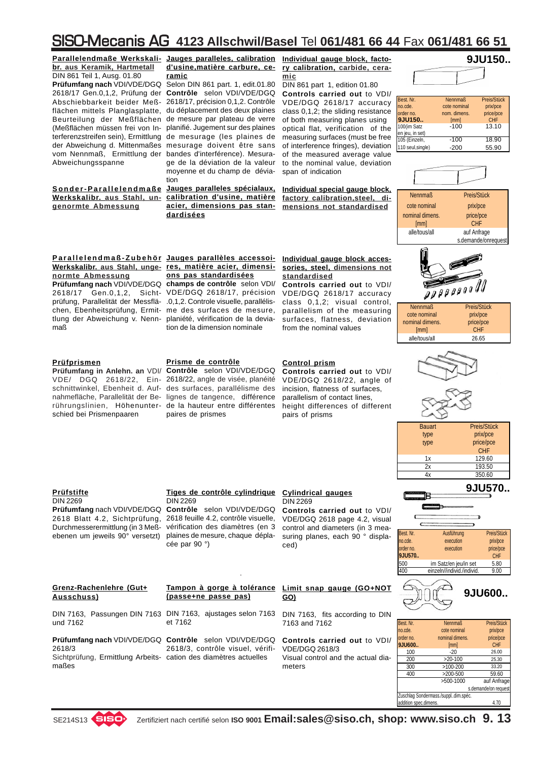**Parallelendmaße Werkskali-Jauges paralleles, calibration Individual gauge block, factobr. aus Keramik, Hartmetall** DIN 861 Teil 1, Ausg. 01.80 **Prüfumfang nach** VDI/VDE/DGQ Selon DIN 861 part. 1, edit.01.80 2618/17 Gen.0,1,2, Prüfung der **Contrôle** selon VDI/VDE/DGQ Abschiebbarkeit beider Meß-2618/17, précision 0,1,2. Contrôle flächen mittels Planglasplatte, du déplacement des deux plaines Beurteilung der Meßflächen de mesure par plateau de verre (Meßflächen müssen frei von In-planifié. Jugement sur des plaines terferenzstreifen sein), Ermittlung de mesurage (les plaines de der Abweichung d. Mittenmaßes mesurage doivent être sans vom Nennmaß, Ermittlung der bandes d'interférence). Mesura-Abweichungsspanne

**Sonder-Parallelendmaße Jauges paralleles spécialaux, Werkskalibr. aus Stahl, un-calibration d'usine, matière genormte Abmessung**

**d'usine,matière carbure, ceramic**

ge de la déviation de la valeur moyenne et du champ de déviation

**acier, dimensions pas stan-mensions not standardised dardisées**

**ry calibration, carbide, ceramic**

DIN 861 part 1, edition 01.80 **Controls carried out** to VDI/ VDE/DGQ 2618/17 accuracy class 0,1,2; the sliding resistance of both measuring planes using optical flat, verification of the measuring surfaces (must be free of interference fringes), deviation of the measured average value to the nominal value, deviation span of indication

**Individual special gauge block, factory calibration,steel, di-**

| 9JU150 |
|--------|
|        |

| Best. Nr.         | <b>Nennmaß</b> | Preis/Stück |
|-------------------|----------------|-------------|
| no.cde.           | cote nominal   | prix/pce    |
| order no.         | nom. dimens.   | price/pce   |
| 9JU150            | [mm]           | CHF         |
| 100(im Satz       | $-100$         | 13.10       |
| en jeu, in set)   |                |             |
| 105 (Einzeln,     | $-100$         | 18.90       |
| 110 seul, single) | $-200$         | 55.90       |

| <b>Nennmaß</b>  | Preis/Stück         |
|-----------------|---------------------|
| cote nominal    | prix/pce            |
| nominal dimens. | price/pce           |
| [mm]            | CHF                 |
| alle/tous/all   | auf Anfrage         |
|                 | s.demande/onrequest |

**Parallelendmaß-Zubehör Jauges parallèles accessoi-Werkskalibr. aus Stahl, unge-res, matière acier, dimensinormte Abmessung**

maß

## **ons pas standardisées**

**Prüfumfang nach** VDI/VDE/DGQ **champs de contrôle** selon VDI/ 2618/17 Gen.0,1,2, Sicht-VDE/DGQ 2618/17, précision prüfung, Parallelität der Messflä-.0,1,2. Controle visuelle, parallélischen, Ebenheitsprüfung, Ermit-me des surfaces de mesure, tlung der Abweichung v. Nenn-planiété, vérification de la deviation de la dimension nominale

### **Individual gauge block accessories, steel, dimensions not standardised**

**Controls carried out** to VDI/ VDE/DGQ 2618/17 accuracy class 0,1,2; visual control, parallelism of the measuring surfaces, flatness, deviation from the nominal values



### **Prüfprismen**

schied bei Prismenpaaren

### **Prisme de contrôle**

**Prüfumfang in Anlehn. an** VDI/ **Contrôle** selon VDI/VDE/DGQ VDE/ DGQ 2618/22, Ein-2618/22, angle de visée, planéité schnittwinkel, Ebenheit d. Auf-des surfaces, parallélisme des nahmefläche, Parallelität der Be-lignes de tangence, différence rührungslinien, Höhenunter-de la hauteur entre différentes paires de prismes

### **Control prism**

**Controls carried out** to VDI/ VDE/DGQ 2618/22, angle of incision, flatness of surfaces, parallelism of contact lines, height differences of different pairs of prisms

alle/tous/all 26.65



| <b>Bauart</b> | Preis/Stück |
|---------------|-------------|
| type          | prix/pce    |
| type          | price/pce   |
|               | <b>CHF</b>  |
| 1x            | 129.60      |
| 2х            | 193.50      |
| 1v            | 350.60      |
|               |             |

**9JU570..**

### **Prüfstifte**

DIN 2269 **Prüfumfang** nach VDI/VDE/DGQ **Contrôle** selon VDI/VDE/DGQ 2618 Blatt 4.2, Sichtprüfung, 2618 feuille 4.2, contrôle visuelle, Durchmesserermittlung (in 3 Meßebenen um jeweils 90° versetzt)

**Grenz-Rachenlehre (Gut+**

DIN 7163, Passungen DIN 7163

**Prüfumfang nach** VDI/VDE/DGQ

Sichtprüfung, Ermittlung Arbeits-

**Ausschuss)**

und 7162

2618/3

maßes

**Tiges de contrôle cylindrique Cylindrical gauges** DIN 2269 vérification des diamètres (en 3 plaines de mesure, chaque dépla-

cée par 90 °)

### DIN 2269

**Controls carried out** to VDI/ VDE/DGQ 2618 page 4.2, visual control and diameters (in 3 measuring planes, each 90 ° displaced)

| Best. Nr. | Ausführung                 | Preis/Stück |
|-----------|----------------------------|-------------|
| no.cde.   | execution                  | prix/pce    |
| order no. | execution                  | price/pce   |
| 9JU570    |                            | CHF         |
| 500       | im Satz/en jeu/in set      | 5.80        |
| 400       | einzeln//individ./individ. | 9.00        |
|           |                            |             |

| Tampon à gorge à tolérance<br>(passe+ne passe pas)                                               | Limit snap gauge (GO+NOT<br>GO)                                                      |                                   |
|--------------------------------------------------------------------------------------------------|--------------------------------------------------------------------------------------|-----------------------------------|
| et 7162                                                                                          | DIN 7163, ajustages selon 7163 DIN 7163, fits according to DIN<br>7163 and 7162      | Best. Nr.<br>no.cde.              |
| Contrôle selon VDI/VDE/DGQ<br>2618/3, contrôle visuel, vérifi-<br>cation des diamètres actuelles | Controls carried out to VDI/<br>VDE/DGQ 2618/3<br>Visual control and the actual dia- | order no.<br>9JU600<br>100<br>200 |
|                                                                                                  | meters                                                                               | 300                               |



| Best. Nr.                           | <b>Nennmaß</b>  | Preis/Stück          |  |
|-------------------------------------|-----------------|----------------------|--|
| no.cde.                             | cote nominal    | prix/pce             |  |
| order no.                           | nominal dimens. | price/pce            |  |
| 9JU600                              | [mm]            | CHF                  |  |
| 100                                 | $-20$           | 26.00                |  |
| 200                                 | $>20-100$       | 25.30                |  |
| 300                                 | >100-200        | 33.20                |  |
| 400                                 | $>200-500$      | 59.60                |  |
|                                     | >500-1000       | auf Anfrage          |  |
|                                     |                 | s.demande/on request |  |
| Zuschlag Sondermass./suppldim.spéc. |                 |                      |  |
| addition spec.dimens.               |                 | 4.70                 |  |

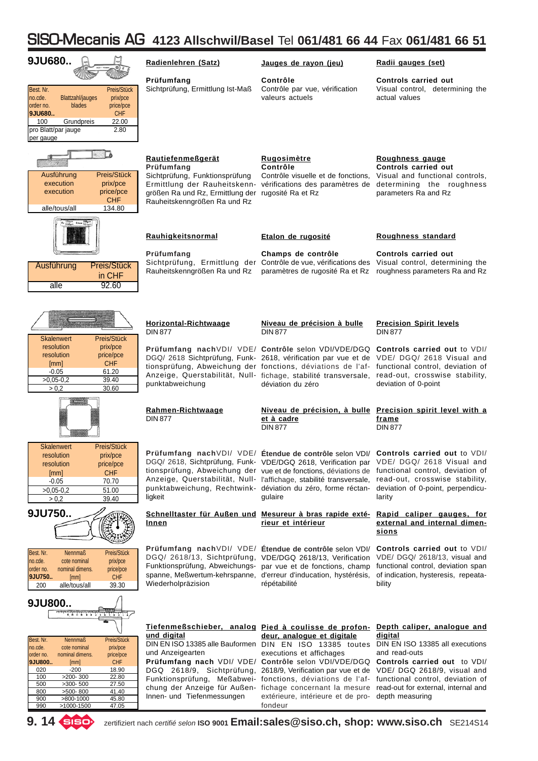| 9JU680                                                                                                                                                                                                                                                                                                                                                                                                | Radienlehren (Satz)                                                                                                                                            | Jauges de rayon (jeu)                                                                                                                                                                                                                                                                                                                                                                                        | Radii gauges (set)                                                                                                                                                                                                                                                                                                   |
|-------------------------------------------------------------------------------------------------------------------------------------------------------------------------------------------------------------------------------------------------------------------------------------------------------------------------------------------------------------------------------------------------------|----------------------------------------------------------------------------------------------------------------------------------------------------------------|--------------------------------------------------------------------------------------------------------------------------------------------------------------------------------------------------------------------------------------------------------------------------------------------------------------------------------------------------------------------------------------------------------------|----------------------------------------------------------------------------------------------------------------------------------------------------------------------------------------------------------------------------------------------------------------------------------------------------------------------|
| Best. Nr.<br>Preis/Stück<br>no.cde.<br><b>Blattzahl/jauges</b><br>prix/pce<br>order no.<br>blades<br>price/pce<br>9JU680<br><b>CHF</b><br>100<br>22.00<br>Grundpreis<br>pro Blatt/par jauge<br>2.80<br>per gauge                                                                                                                                                                                      | Prüfumfang<br>Sichtprüfung, Ermittlung Ist-Maß                                                                                                                 | Contrôle<br>Contrôle par vue, vérification<br>valeurs actuels                                                                                                                                                                                                                                                                                                                                                | <b>Controls carried out</b><br>Visual control, determining the<br>actual values                                                                                                                                                                                                                                      |
| Preis/Stück<br>Ausführung<br>execution<br>prix/pce<br>execution<br>price/pce<br>CHF<br>134.80<br>alle/tous/all                                                                                                                                                                                                                                                                                        | <b>Rautiefenmeßgerät</b><br>Prüfumfang<br>Sichtprüfung, Funktionsprüfung<br>größen Ra und Rz, Ermittlung der rugosité Ra et Rz<br>Rauheitskenngrößen Ra und Rz | Rugosimètre<br>Contrôle<br>Contrôle visuelle et de fonctions,<br>Ermittlung der Rauheitskenn- vérifications des paramètres de                                                                                                                                                                                                                                                                                | Roughness gauge<br>Controls carried out<br>Visual and functional controls,<br>determining the roughness<br>parameters Ra and Rz                                                                                                                                                                                      |
| Rings In                                                                                                                                                                                                                                                                                                                                                                                              | Rauhigkeitsnormal                                                                                                                                              | Etalon de rugosité                                                                                                                                                                                                                                                                                                                                                                                           | Roughness standard                                                                                                                                                                                                                                                                                                   |
| Preis/Stück<br>Ausführung<br>in CHF<br>92.60<br>alle                                                                                                                                                                                                                                                                                                                                                  | Prüfumfang<br>Rauheitskenngrößen Ra und Rz                                                                                                                     | Champs de contrôle<br>Sichtprüfung, Ermittlung der Contrôle de vue, vérifications des Visual control, determining the<br>paramètres de rugosité Ra et Rz                                                                                                                                                                                                                                                     | Controls carried out<br>roughness parameters Ra and Rz                                                                                                                                                                                                                                                               |
| <b>Skalenwert</b><br>Preis/Stück                                                                                                                                                                                                                                                                                                                                                                      | Horizontal-Richtwaage<br><b>DIN 877</b>                                                                                                                        | Niveau de précision à bulle<br><b>DIN 877</b>                                                                                                                                                                                                                                                                                                                                                                | <b>Precision Spirit levels</b><br><b>DIN 877</b>                                                                                                                                                                                                                                                                     |
| resolution<br>prix/pce<br>resolution<br>price/pce<br><b>CHF</b><br>[mm]<br>61.20<br>$-0.05$<br>$>0.05 - 0.2$<br>39.40<br>> 0.2<br>30.60                                                                                                                                                                                                                                                               | punktabweichung                                                                                                                                                | Prüfumfang nach VDI/ VDE/ Contrôle selon VDI/VDE/DGQ<br>tionsprüfung, Abweichung der fonctions, déviations de l'af-<br>Anzeige, Querstabilität, Null- fichage, stabilité transversale,<br>déviation du zéro                                                                                                                                                                                                  | <b>Controls carried out to VDI/</b><br>DGQ/ 2618 Sichtprüfung, Funk- 2618, vérification par vue et de VDE/ DGQ/ 2618 Visual and<br>functional control, deviation of<br>read-out, crosswise stability,<br>deviation of 0-point                                                                                        |
|                                                                                                                                                                                                                                                                                                                                                                                                       | Rahmen-Richtwaage<br><b>DIN 877</b>                                                                                                                            | et à cadre<br><b>DIN 877</b>                                                                                                                                                                                                                                                                                                                                                                                 | Niveau de précision, à bulle Precision spirit level with a<br>frame<br><b>DIN 877</b>                                                                                                                                                                                                                                |
| <b>Skalenwert</b><br>Preis/Stück<br>resolution<br>prix/pce<br>resolution<br>price/pce<br><b>CHF</b><br>[mm]<br>$-0.05$<br>70.70<br>$>0,05-0,2$<br>51.00<br>> 0.2<br>39.40                                                                                                                                                                                                                             | ligkeit                                                                                                                                                        | Prüfumfang nach VDI/ VDE/ Étendue de contrôle selon VDI/<br>DGQ/ 2618, Sichtprüfung, Funk- VDE/DGQ 2618, Verification par<br>tionsprüfung, Abweichung der vue et de fonctions, déviations de<br>Anzeige, Querstabilität, Null- l'affichage, stabilité transversale,<br>punktabweichung, Rechtwink- déviation du zéro, forme réctan-<br>qulaire                                                               | <b>Controls carried out to VDI/</b><br>VDE/ DGQ/ 2618 Visual and<br>functional control, deviation of<br>read-out, crosswise stability,<br>deviation of 0-point, perpendicu-<br>larity                                                                                                                                |
| 9JU750                                                                                                                                                                                                                                                                                                                                                                                                | Innen                                                                                                                                                          | Schnelltaster für Außen und Mesureur à bras rapide exté-<br>rieur et intérieur                                                                                                                                                                                                                                                                                                                               | Rapid caliper gauges, for<br>external and internal dimen-<br><u>sions</u>                                                                                                                                                                                                                                            |
| Best. Nr.<br><b>Nennmaß</b><br>Preis/Stück<br>cote nominal<br>no.cde.<br>prix/pce<br>nominal dimens.<br>order no.<br>price/pce<br>9JU750<br><b>CHF</b><br>[mm]<br>alle/tous/all<br>39.30<br>200                                                                                                                                                                                                       | Wiederholpräzision                                                                                                                                             | Prüfumfang nach VDI/ VDE/ Étendue de contrôle selon VDI/<br>DGQ/ 2618/13, Sichtprüfung, VDE/DGQ 2618/13, Verification<br>Funktionsprüfung, Abweichungs- par vue et de fonctions, champ<br>spanne, Meßwertum-kehrspanne, d'erreur d'inducation, hystérésis,<br>répétabilité                                                                                                                                   | Controls carried out to VDI/<br>VDE/ DGQ/ 2618/13, visual and<br>functional control, deviation span<br>of indication, hysteresis, repeata-<br>bility                                                                                                                                                                 |
| 9JU800<br><u>הייציריים ביניה היישובה</u> הדר<br>ä.<br>Best. Nr.<br>Preis/Stück<br><b>Nennmaß</b><br>no.cde.<br>cote nominal<br>prix/pce<br>nominal dimens.<br>price/pce<br>order no.<br><b>CHF</b><br>9JU800<br>[mm]<br>$-200$<br>18.90<br>020<br>$>200-300$<br>100<br>22.80<br>500<br>$>300-500$<br>27.50<br>800<br>$>500-800$<br>41.40<br>900<br>$>800-1000$<br>45.80<br>990<br>47.05<br>>1000-1500 | und digital<br>und Anzeigearten<br>Innen- und Tiefenmessungen                                                                                                  | Tiefenmeßschieber, analog Pied à coulisse de profon-<br>deur, analogue et digitale<br>DIN EN ISO 13385 alle Bauformen DIN EN ISO 13385 toutes<br>executions et affichages<br>Prüfumfang nach VDI/ VDE/ Contrôle selon VDI/VDE/DGQ<br>Funktionsprüfung, Meßabwei- fonctions, déviations de l'af-<br>chung der Anzeige für Außen- fichage concernant la mesure<br>extérieure, intérieure et de pro-<br>fondeur | Depth caliper, analogue and<br>digital<br>DIN EN ISO 13385 all executions<br>and read-outs<br>Controls carried out to VDI/<br>DGQ 2618/9, Sichtprüfung, 2618/9, Verification par vue et de VDE/ DGQ 2618/9, visual and<br>functional control, deviation of<br>read-out for external, internal and<br>depth measuring |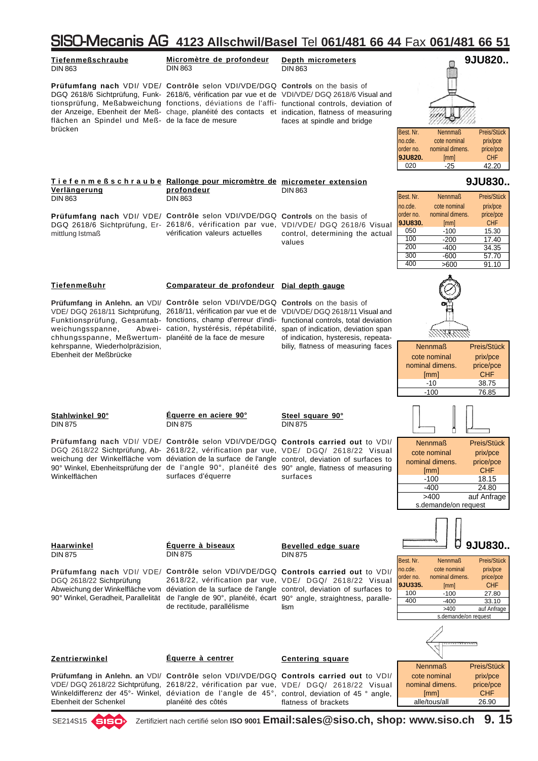#### SISO-Mecanis AG **4123 Allschwil/Basel** Tel **061/481 66 44** Fax **061/481 66 51 Tiefenmeßschraube Micromètre de profondeur 9JU820.. Depth micrometers** DIN 863 DIN 863 DIN 863 **Prüfumfang nach VDI/ VDE/ Contrôle selon VDI/VDE/DGQ Controls on the basis of** DGQ 2618/6 Sichtprüfung, Funk-2618/6, vérification par vue et de VDI/VDE/ DGQ 2618/6 Visual and tionsprüfung, Meßabweichung fonctions, déviations de l'affi- functional controls, deviation of der Anzeige, Ebenheit der Meß- chage, planéité des contacts et indication, flatness of measuring flächen an Spindel und Meß-de la face de mesure faces at spindle and bridge brücken Best. Nr. Nennmaß Preis/Stück no.cde. cote nominal prix/pce<br>order no. nominal dimens. price/pce nominal dimens. price/pce **9JU820.** [mm] CHF  $42.20$ **9JU830.. Tiefenmeßschraube Rallonge pour micromètre de micrometer extension Verlängerung profondeur** DIN 863 Best. Nr. Nennmaß Preis/Stück DIN 863 DIN 863 no.cde. cote nominal prix/pce order no. nominal dimens. price/pce **Prüfumfang nach VDI/ VDE/ Contrôle selon VDI/VDE/DGQ Controls on the basis of 9JU830.** [mm]<br>050 -100 DGQ 2618/6 Sichtprüfung, Er-2618/6, vérification par vue, VDI/VDE/ DGQ 2618/6 Visual 050 -100 15.30<br>100 -200 17.40 vérification valeurs actuelles mittlung Istmaß control, determining the actual 100 -200 17.40<br>200 -400 34.35 values 200 -400 34.35<br>300 -600 57.70  $\frac{300}{400}$  -600 57.70<br>400 >600 91.10  $5600$  91.10 **Tiefenmeßuhr Comparateur de profondeur Dial depth gauge Prüfumfang in Anlehn. an VDI/ Contrôle selon VDI/VDE/DGQ Controls on the basis of** VDE/ DGQ 2618/11 Sichtprüfung, 2618/11, vérification par vue et de VDI/VDE/DGQ 2618/11 Visual and Funktionsprüfung, Gesamtab- fonctions, champ d'erreur d'indi- functional controls, total deviation weichungsspanne, cation, hystérésis, répétabilité, span of indication, deviation span of indication, hysteresis, repeatachhungsspanne, Meßwertum-planéité de la face de mesure kehrspanne, Wiederholpräzision, biliy, flatness of measuring faces Nennmaß Preis/Stück Ebenheit der Meßbrücke cote nominal prix/pce nominal dimens. price/pce [mm] CHF  $-10$   $38.75$ <br> $-100$   $76.85$ 76.85 **Stahlwinkel 90° Équerre en aciere 90° Steel square 90°** DIN 875 DIN 875 DIN 875 **Prüfumfang nach** VDI/ VDE/ **Contrôle** selon VDI/VDE/DGQ **Controls carried out** to VDI/ Nennmaß Preis/Stück DGQ 2618/22 Sichtprüfung, Ab-2618/22, vérification par vue, VDE/ DGQ/ 2618/22 Visual cote nominal prix/pce weichung der Winkelfläche vom déviation de la surface de l'angle control, deviation of surfaces to nominal dimens. price/pce 90° Winkel, Ebenheitsprüfung der de l'angle 90°, planéité des 90° angle, flatness of measuring [mm] CHF Winkelflächen surfaces d'équerre surfaces  $-100$  18.15<br> $-400$  24.80  $24.80$ >400 auf Anfrage s.demande/on request Ũ **Haarwinkel Équerre à biseaux 9JU830.. Bevelled edge suare** DIN 875 DIN 875 DIN 875 Best. Nr. Nennmaß Preis/Stück no.cde. cote nominal prix/pce **Prüfumfang nach** VDI/ VDE/ **Contrôle** selon VDI/VDE/DGQ **Controls carried out** to VDI/ order no. nominal dimens. price/pce DGQ 2618/22 Sichtprüfung 2618/22, vérification par vue, VDE/ DGQ/ 2618/22 Visual **9JU335.** [mm] CHF<br>100 - 100 27.80 Abweichung der Winkelfläche vom déviation de la surface de l'angle control, deviation of surfaces to 100 -100 27.80<br>400 -400 33.10 90° Winkel, Geradheit, Parallelität de l'angle de 90°, planéité, écart 90° angle, straightness, paralle-400 33.10 de rectitude, parallélisme lism auf Anfrage demande/on request m **Zentrierwinkel Équerre à centrer Centering square** Nennmaß Preis/Stück **Prüfumfang in Anlehn. an** VDI/ **Contrôle** selon VDI/VDE/DGQ **Controls carried out** to VDI/ cote nominal prix/pce nominal dimens. price/pce VDE/ DGQ 2618/22 Sichtprüfung, 2618/22, vérification par vue, VDE/ DGQ/ 2618/22 Visual [mm] CHF Winkeldifferenz der 45°- Winkel, déviation de l'angle de 45°, control, deviation of 45 ° angle, Ebenheit der Schenkel planéité des côtés flatness of brackets alle/tous/all 26.90

SE214S15 Zertifiziert nach certifié selon **ISO 9001 Email:sales@siso.ch, shop: www.siso.ch 9. 15**